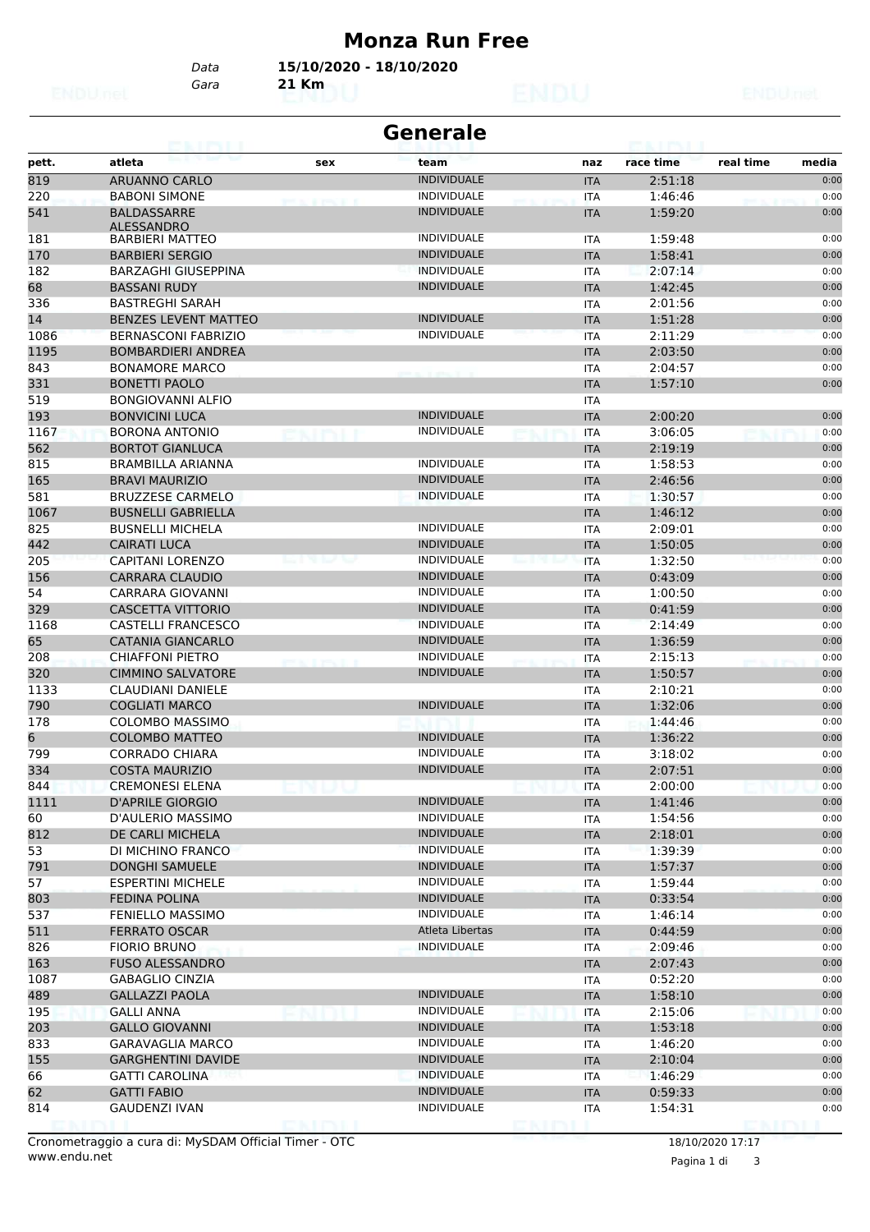#### **Monza Run Free**

*Gara* **21 Km** *Data* **15/10/2020 - 18/10/2020**

|       | <b>Generale</b><br>CALIFALI<br><b>TIPS FIL</b> |        |                    |  |            |           |                    |  |  |
|-------|------------------------------------------------|--------|--------------------|--|------------|-----------|--------------------|--|--|
| pett. | atleta                                         | sex    | team               |  | naz        | race time | real time<br>media |  |  |
| 819   | <b>ARUANNO CARLO</b>                           |        | <b>INDIVIDUALE</b> |  | <b>ITA</b> | 2:51:18   | 0:00               |  |  |
| 220   | <b>BABONI SIMONE</b>                           |        | <b>INDIVIDUALE</b> |  | <b>ITA</b> | 1:46:46   | 0:00               |  |  |
| 541   | BALDASSARRE                                    |        | <b>INDIVIDUALE</b> |  | <b>ITA</b> | 1:59:20   | 0:00               |  |  |
|       | <b>ALESSANDRO</b>                              |        |                    |  |            |           |                    |  |  |
| 181   | <b>BARBIERI MATTEO</b>                         |        | <b>INDIVIDUALE</b> |  | <b>ITA</b> | 1:59:48   | 0:00               |  |  |
| 170   | <b>BARBIERI SERGIO</b>                         |        | <b>INDIVIDUALE</b> |  | <b>ITA</b> | 1:58:41   | 0:00               |  |  |
| 182   | <b>BARZAGHI GIUSEPPINA</b>                     |        | <b>INDIVIDUALE</b> |  | <b>ITA</b> | 2:07:14   | 0:00               |  |  |
| 68    | <b>BASSANI RUDY</b>                            |        | <b>INDIVIDUALE</b> |  | <b>ITA</b> | 1:42:45   | 0:00               |  |  |
| 336   | <b>BASTREGHI SARAH</b>                         |        |                    |  | <b>ITA</b> | 2:01:56   | 0:00               |  |  |
| 14    | <b>BENZES LEVENT MATTEO</b>                    |        | <b>INDIVIDUALE</b> |  | <b>ITA</b> | 1:51:28   | 0:00               |  |  |
| 1086  | <b>BERNASCONI FABRIZIO</b>                     |        | <b>INDIVIDUALE</b> |  | <b>ITA</b> | 2:11:29   | 0:00               |  |  |
| 1195  | <b>BOMBARDIERI ANDREA</b>                      |        |                    |  | <b>ITA</b> | 2:03:50   | 0:00               |  |  |
| 843   | <b>BONAMORE MARCO</b>                          |        |                    |  | <b>ITA</b> | 2:04:57   | 0:00               |  |  |
| 331   | <b>BONETTI PAOLO</b>                           |        |                    |  | <b>ITA</b> | 1:57:10   | 0:00               |  |  |
| 519   | <b>BONGIOVANNI ALFIO</b>                       |        |                    |  | <b>ITA</b> |           |                    |  |  |
| 193   | <b>BONVICINI LUCA</b>                          |        | <b>INDIVIDUALE</b> |  | <b>ITA</b> | 2:00:20   | 0:00               |  |  |
| 1167  | <b>BORONA ANTONIO</b>                          |        | <b>INDIVIDUALE</b> |  | ITA        | 3:06:05   | 0:00               |  |  |
| 562   | <b>BORTOT GIANLUCA</b>                         |        |                    |  | <b>ITA</b> | 2:19:19   | 0:00               |  |  |
| 815   | <b>BRAMBILLA ARIANNA</b>                       |        | <b>INDIVIDUALE</b> |  | <b>ITA</b> | 1:58:53   | 0:00               |  |  |
| 165   | <b>BRAVI MAURIZIO</b>                          |        | <b>INDIVIDUALE</b> |  | <b>ITA</b> | 2:46:56   | 0:00               |  |  |
| 581   | <b>BRUZZESE CARMELO</b>                        |        | <b>INDIVIDUALE</b> |  | <b>ITA</b> | 1:30:57   | 0:00               |  |  |
| 1067  | <b>BUSNELLI GABRIELLA</b>                      |        |                    |  | <b>ITA</b> | 1:46:12   | 0:00               |  |  |
| 825   | <b>BUSNELLI MICHELA</b>                        |        | <b>INDIVIDUALE</b> |  | <b>ITA</b> | 2:09:01   | 0:00               |  |  |
| 442   | <b>CAIRATI LUCA</b>                            |        | <b>INDIVIDUALE</b> |  | <b>ITA</b> | 1:50:05   | 0:00               |  |  |
| 205   | <b>CAPITANI LORENZO</b>                        |        | <b>INDIVIDUALE</b> |  | <b>ITA</b> | 1:32:50   | 0:00               |  |  |
| 156   | <b>CARRARA CLAUDIO</b>                         |        | <b>INDIVIDUALE</b> |  | <b>ITA</b> | 0:43:09   | 0:00               |  |  |
| 54    | CARRARA GIOVANNI                               |        | <b>INDIVIDUALE</b> |  | <b>ITA</b> | 1:00:50   | 0:00               |  |  |
| 329   | <b>CASCETTA VITTORIO</b>                       |        | <b>INDIVIDUALE</b> |  | <b>ITA</b> | 0:41:59   | 0:00               |  |  |
| 1168  | <b>CASTELLI FRANCESCO</b>                      |        | <b>INDIVIDUALE</b> |  | ITA        | 2:14:49   | 0:00               |  |  |
| 65    | <b>CATANIA GIANCARLO</b>                       |        | <b>INDIVIDUALE</b> |  | <b>ITA</b> | 1:36:59   | 0:00               |  |  |
| 208   | <b>CHIAFFONI PIETRO</b>                        |        | <b>INDIVIDUALE</b> |  | ITA        | 2:15:13   | 0:00               |  |  |
| 320   | <b>CIMMINO SALVATORE</b>                       |        | <b>INDIVIDUALE</b> |  | <b>ITA</b> | 1:50:57   | 0:00               |  |  |
| 1133  | <b>CLAUDIANI DANIELE</b>                       |        |                    |  | <b>ITA</b> | 2:10:21   | 0:00               |  |  |
| 790   | <b>COGLIATI MARCO</b>                          |        | <b>INDIVIDUALE</b> |  | <b>ITA</b> | 1:32:06   | 0:00               |  |  |
| 178   | <b>COLOMBO MASSIMO</b>                         |        |                    |  | ITA        | 1:44:46   | 0:00               |  |  |
| 6     | <b>COLOMBO MATTEO</b>                          |        | <b>INDIVIDUALE</b> |  | <b>ITA</b> | 1:36:22   | 0:00               |  |  |
| 799   | <b>CORRADO CHIARA</b>                          |        | <b>INDIVIDUALE</b> |  | <b>ITA</b> | 3:18:02   | 0:00               |  |  |
| 334   | <b>COSTA MAURIZIO</b>                          |        | <b>INDIVIDUALE</b> |  | <b>ITA</b> | 2:07:51   | 0:00               |  |  |
| 844   | <b>CREMONESI ELENA</b>                         |        |                    |  | ITA        | 2:00:00   | 0:00               |  |  |
| 1111  | <b>D'APRILE GIORGIO</b>                        |        | <b>INDIVIDUALE</b> |  | <b>ITA</b> | 1:41:46   | 0:00               |  |  |
| 60    | D'AULERIO MASSIMO                              |        | <b>INDIVIDUALE</b> |  | ITA        | 1:54:56   | 0:00               |  |  |
| 812   | DE CARLI MICHELA                               |        | <b>INDIVIDUALE</b> |  | <b>ITA</b> | 2:18:01   | 0:00               |  |  |
| 53    | DI MICHINO FRANCO                              |        | <b>INDIVIDUALE</b> |  | ITA        | 1:39:39   | 0:00               |  |  |
| 791   | <b>DONGHI SAMUELE</b>                          |        | <b>INDIVIDUALE</b> |  | <b>ITA</b> | 1:57:37   | 0:00               |  |  |
| 57    | <b>ESPERTINI MICHELE</b>                       |        | <b>INDIVIDUALE</b> |  | ITA        | 1:59:44   | 0:00               |  |  |
| 803   | <b>FEDINA POLINA</b>                           |        | <b>INDIVIDUALE</b> |  | <b>ITA</b> | 0:33:54   | 0:00               |  |  |
| 537   | FENIELLO MASSIMO                               |        | <b>INDIVIDUALE</b> |  | ITA        | 1:46:14   | 0:00               |  |  |
| 511   | <b>FERRATO OSCAR</b>                           |        | Atleta Libertas    |  | <b>ITA</b> | 0:44:59   | 0:00               |  |  |
| 826   | <b>FIORIO BRUNO</b>                            |        | <b>INDIVIDUALE</b> |  | <b>ITA</b> | 2:09:46   | 0:00               |  |  |
| 163   | <b>FUSO ALESSANDRO</b>                         |        |                    |  | <b>ITA</b> | 2:07:43   | 0:00               |  |  |
| 1087  | <b>GABAGLIO CINZIA</b>                         |        |                    |  | ITA        | 0:52:20   | 0:00               |  |  |
| 489   | <b>GALLAZZI PAOLA</b>                          |        | <b>INDIVIDUALE</b> |  | <b>ITA</b> | 1:58:10   | 0:00               |  |  |
| 195   | <b>GALLI ANNA</b>                              |        | <b>INDIVIDUALE</b> |  | ITA        | 2:15:06   | 0:00               |  |  |
| 203   | <b>GALLO GIOVANNI</b>                          |        | <b>INDIVIDUALE</b> |  | <b>ITA</b> | 1:53:18   | 0:00               |  |  |
| 833   | <b>GARAVAGLIA MARCO</b>                        |        | <b>INDIVIDUALE</b> |  | ITA        | 1:46:20   | 0:00               |  |  |
| 155   | <b>GARGHENTINI DAVIDE</b>                      |        | <b>INDIVIDUALE</b> |  | <b>ITA</b> | 2:10:04   | 0:00               |  |  |
| 66    | <b>GATTI CAROLINA</b>                          |        | <b>INDIVIDUALE</b> |  | ITA        | 1:46:29   | 0:00               |  |  |
| 62    | <b>GATTI FABIO</b>                             |        | <b>INDIVIDUALE</b> |  | <b>ITA</b> | 0:59:33   | 0:00               |  |  |
| 814   | GAUDENZI IVAN                                  |        | <b>INDIVIDUALE</b> |  | ITA        | 1:54:31   | 0:00               |  |  |
|       |                                                | enirii |                    |  |            |           |                    |  |  |

www.endu.net Cronometraggio a cura di: MySDAM Official Timer - OTC 18/10/2020 17:17

Pagina 1 di 3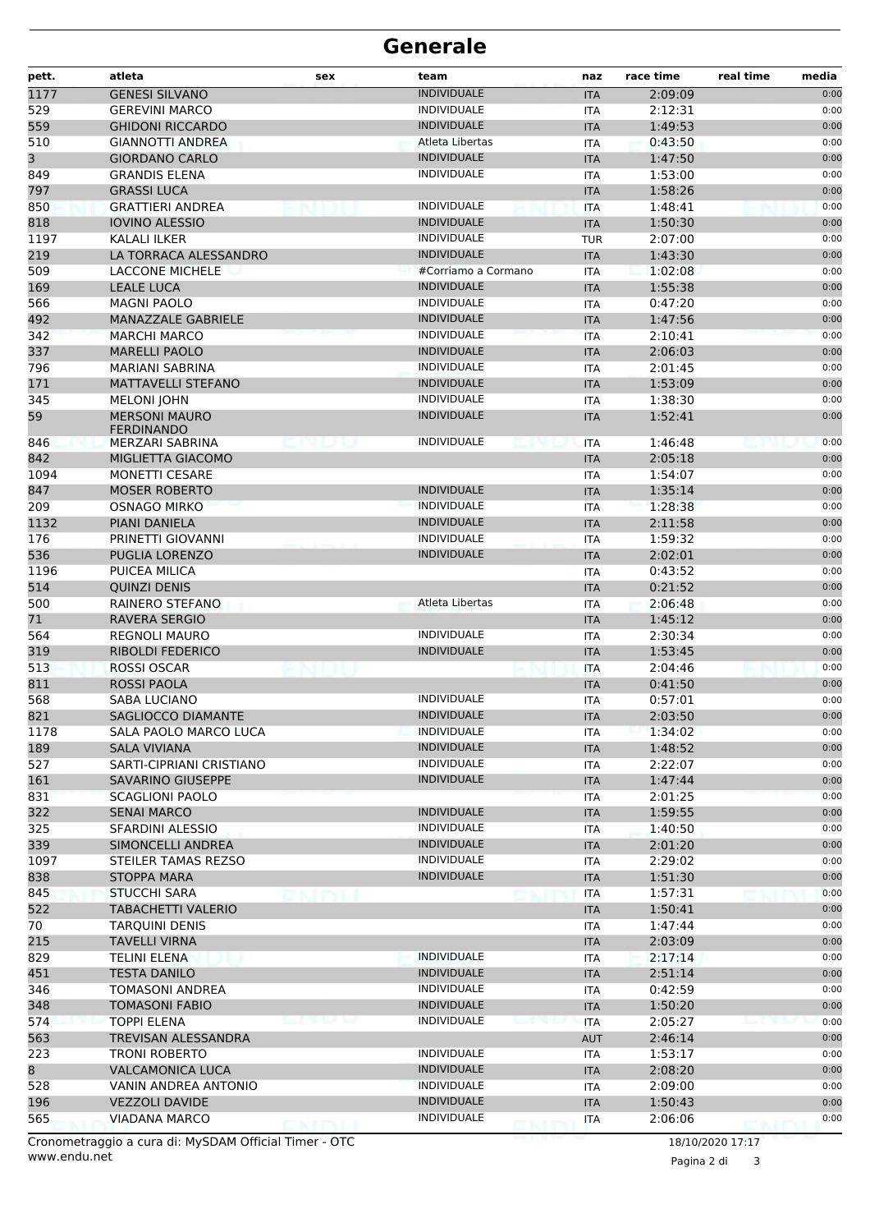| pett.      | atleta                                    | sex | team                                     | naz                      | race time          | real time | media        |
|------------|-------------------------------------------|-----|------------------------------------------|--------------------------|--------------------|-----------|--------------|
| 1177       | <b>GENESI SILVANO</b>                     |     | <b>INDIVIDUALE</b>                       | <b>ITA</b>               | 2:09:09            |           | 0:00         |
| 529        | <b>GEREVINI MARCO</b>                     |     | <b>INDIVIDUALE</b>                       | ITA                      | 2:12:31            |           | 0:00         |
| 559        | <b>GHIDONI RICCARDO</b>                   |     | <b>INDIVIDUALE</b>                       | <b>ITA</b>               | 1:49:53            |           | 0:00         |
| 510        | GIANNOTTI ANDREA                          |     | Atleta Libertas                          | ITA                      | 0:43:50            |           | 0:00         |
| 3          | <b>GIORDANO CARLO</b>                     |     | <b>INDIVIDUALE</b>                       | <b>ITA</b>               | 1:47:50            |           | 0:00         |
| 849        | <b>GRANDIS ELENA</b>                      |     | <b>INDIVIDUALE</b>                       | <b>ITA</b>               | 1:53:00            |           | 0:00         |
| 797        | <b>GRASSI LUCA</b>                        |     |                                          | <b>ITA</b>               | 1:58:26            |           | 0:00         |
| 850        | <b>GRATTIERI ANDREA</b>                   |     | <b>INDIVIDUALE</b>                       | ITA                      | 1:48:41            |           | 0:00         |
| 818        | <b>IOVINO ALESSIO</b>                     |     | <b>INDIVIDUALE</b>                       | <b>ITA</b>               | 1:50:30            |           | 0:00         |
| 1197       | KALALI ILKER                              |     | <b>INDIVIDUALE</b>                       | <b>TUR</b>               | 2:07:00            |           | 0:00         |
| 219        | LA TORRACA ALESSANDRO                     |     | <b>INDIVIDUALE</b>                       | <b>ITA</b>               | 1:43:30            |           | 0:00         |
| 509        | <b>LACCONE MICHELE</b>                    |     | #Corriamo a Cormano                      | <b>ITA</b>               | 1:02:08            |           | 0:00         |
| 169        | <b>LEALE LUCA</b>                         |     | <b>INDIVIDUALE</b>                       | <b>ITA</b>               | 1:55:38            |           | 0:00         |
| 566        | <b>MAGNI PAOLO</b>                        |     | <b>INDIVIDUALE</b>                       | ITA                      | 0:47:20            |           | 0:00         |
| 492        | MANAZZALE GABRIELE                        |     | <b>INDIVIDUALE</b>                       | <b>ITA</b>               | 1:47:56            |           | 0:00         |
| 342        | <b>MARCHI MARCO</b>                       |     | <b>INDIVIDUALE</b>                       | <b>ITA</b>               | 2:10:41            |           | 0:00         |
| 337        | <b>MARELLI PAOLO</b>                      |     | <b>INDIVIDUALE</b>                       | <b>ITA</b>               | 2:06:03            |           | 0:00         |
| 796        | <b>MARIANI SABRINA</b>                    |     | <b>INDIVIDUALE</b>                       | <b>ITA</b>               | 2:01:45            |           | 0:00         |
| 171        | <b>MATTAVELLI STEFANO</b>                 |     | <b>INDIVIDUALE</b>                       | <b>ITA</b>               | 1:53:09            |           | 0:00         |
| 345        | <b>MELONI JOHN</b>                        |     | <b>INDIVIDUALE</b>                       | ITA                      | 1:38:30            |           | 0:00         |
| 59         | <b>MERSONI MAURO</b><br><b>FERDINANDO</b> |     | <b>INDIVIDUALE</b>                       | <b>ITA</b>               | 1:52:41            |           | 0:00         |
| 846        | MERZARI SABRINA                           |     | <b>INDIVIDUALE</b>                       | <b>ITA</b>               | 1:46:48            |           | 0:00         |
| 842        | MIGLIETTA GIACOMO                         |     |                                          | <b>ITA</b>               | 2:05:18            |           | 0:00         |
| 1094       | <b>MONETTI CESARE</b>                     |     |                                          | ITA                      | 1:54:07            |           | 0:00         |
| 847        | <b>MOSER ROBERTO</b>                      |     | <b>INDIVIDUALE</b>                       | <b>ITA</b>               | 1:35:14            |           | 0:00         |
| 209        | <b>OSNAGO MIRKO</b>                       |     | <b>INDIVIDUALE</b>                       | ITA                      | 1:28:38            |           | 0:00         |
| 1132       | PIANI DANIELA                             |     | <b>INDIVIDUALE</b>                       | <b>ITA</b>               | 2:11:58            |           | 0:00         |
| 176        | PRINETTI GIOVANNI                         |     | <b>INDIVIDUALE</b>                       | ITA                      | 1:59:32            |           | 0:00         |
| 536        | PUGLIA LORENZO                            |     | <b>INDIVIDUALE</b>                       | <b>ITA</b>               | 2:02:01            |           | 0:00         |
| 1196       | PUICEA MILICA                             |     |                                          | ITA                      | 0:43:52            |           | 0:00         |
| 514        | <b>QUINZI DENIS</b>                       |     |                                          | <b>ITA</b>               | 0:21:52            |           | 0:00         |
| 500        | RAINERO STEFANO                           |     | Atleta Libertas                          | ITA                      | 2:06:48            |           | 0:00         |
| 71         | <b>RAVERA SERGIO</b>                      |     |                                          | <b>ITA</b>               | 1:45:12            |           | 0:00         |
| 564        | <b>REGNOLI MAURO</b>                      |     | <b>INDIVIDUALE</b>                       | <b>ITA</b>               | 2:30:34            |           | 0:00         |
| 319        | <b>RIBOLDI FEDERICO</b>                   |     | <b>INDIVIDUALE</b>                       | <b>ITA</b>               | 1:53:45            |           | 0:00         |
| 513        | <b>ROSSI OSCAR</b>                        |     |                                          | <b>ITA</b>               | 2:04:46            |           | 0:00         |
| 811        | <b>ROSSI PAOLA</b>                        |     |                                          | <b>ITA</b>               | 0:41:50            |           | 0:00         |
| 568        | <b>SABA LUCIANO</b>                       |     | <b>INDIVIDUALE</b>                       | <b>ITA</b>               | 0:57:01            |           | 0:00         |
| 821        | <b>SAGLIOCCO DIAMANTE</b>                 |     | <b>INDIVIDUALE</b>                       | <b>ITA</b>               | 2:03:50            |           | 0:00         |
| 1178       | SALA PAOLO MARCO LUCA                     |     | <b>INDIVIDUALE</b>                       | ITA                      | 1:34:02            |           | 0:00         |
| 189        | <b>SALA VIVIANA</b>                       |     | <b>INDIVIDUALE</b>                       | <b>ITA</b>               | 1:48:52            |           | 0:00         |
| 527        | SARTI-CIPRIANI CRISTIANO                  |     | <b>INDIVIDUALE</b>                       | ITA                      | 2:22:07            |           | 0:00         |
| 161        | SAVARINO GIUSEPPE                         |     | <b>INDIVIDUALE</b>                       | <b>ITA</b>               | 1:47:44            |           | 0:00         |
| 831        | <b>SCAGLIONI PAOLO</b>                    |     |                                          | <b>ITA</b>               | 2:01:25            |           | 0:00         |
| 322        | <b>SENAI MARCO</b>                        |     | <b>INDIVIDUALE</b>                       | <b>ITA</b>               | 1:59:55            |           | 0:00         |
| 325        | SFARDINI ALESSIO                          |     | <b>INDIVIDUALE</b><br><b>INDIVIDUALE</b> | ITA                      | 1:40:50            |           | 0:00         |
| 339        | SIMONCELLI ANDREA                         |     | <b>INDIVIDUALE</b>                       | <b>ITA</b>               | 2:01:20            |           | 0:00         |
| 1097       | STEILER TAMAS REZSO                       |     | <b>INDIVIDUALE</b>                       | ITA                      | 2:29:02            |           | 0:00         |
| 838<br>845 | <b>STOPPA MARA</b>                        |     |                                          | <b>ITA</b>               | 1:51:30<br>1:57:31 |           | 0:00<br>0:00 |
| 522        | STUCCHI SARA<br>TABACHETTI VALERIO        |     |                                          | ITA                      | 1:50:41            |           | 0:00         |
| 70         | <b>TARQUINI DENIS</b>                     |     |                                          | <b>ITA</b><br><b>ITA</b> | 1:47:44            |           | 0:00         |
| 215        | <b>TAVELLI VIRNA</b>                      |     |                                          | <b>ITA</b>               | 2:03:09            |           | 0:00         |
| 829        | <b>TELINI ELENA</b>                       |     | <b>INDIVIDUALE</b>                       | ITA                      | 2:17:14            |           | 0:00         |
| 451        | <b>TESTA DANILO</b>                       |     | <b>INDIVIDUALE</b>                       | <b>ITA</b>               | 2:51:14            |           | 0:00         |
| 346        | TOMASONI ANDREA                           |     | <b>INDIVIDUALE</b>                       | ITA                      | 0:42:59            |           | 0:00         |
| 348        | <b>TOMASONI FABIO</b>                     |     | <b>INDIVIDUALE</b>                       | <b>ITA</b>               | 1:50:20            |           | 0:00         |
| 574        | <b>TOPPI ELENA</b>                        |     | <b>INDIVIDUALE</b>                       | ITA                      | 2:05:27            |           | 0:00         |
| 563        | TREVISAN ALESSANDRA                       |     |                                          | <b>AUT</b>               | 2:46:14            |           | 0:00         |
| 223        | <b>TRONI ROBERTO</b>                      |     | <b>INDIVIDUALE</b>                       | ITA                      | 1:53:17            |           | 0:00         |
| 8          | <b>VALCAMONICA LUCA</b>                   |     | <b>INDIVIDUALE</b>                       | <b>ITA</b>               | 2:08:20            |           | 0:00         |
| 528        | VANIN ANDREA ANTONIO                      |     | <b>INDIVIDUALE</b>                       | ITA                      | 2:09:00            |           | 0:00         |
| 196        | <b>VEZZOLI DAVIDE</b>                     |     | <b>INDIVIDUALE</b>                       | <b>ITA</b>               | 1:50:43            |           | 0:00         |
| 565        | <b>VIADANA MARCO</b>                      |     | <b>INDIVIDUALE</b>                       | <b>ITA</b>               | 2:06:06            |           | 0:00         |
|            |                                           |     |                                          |                          |                    |           |              |

www.endu.net Cronometraggio a cura di: MySDAM Official Timer - OTC 18/10/2020 17:17

Pagina 2 di 3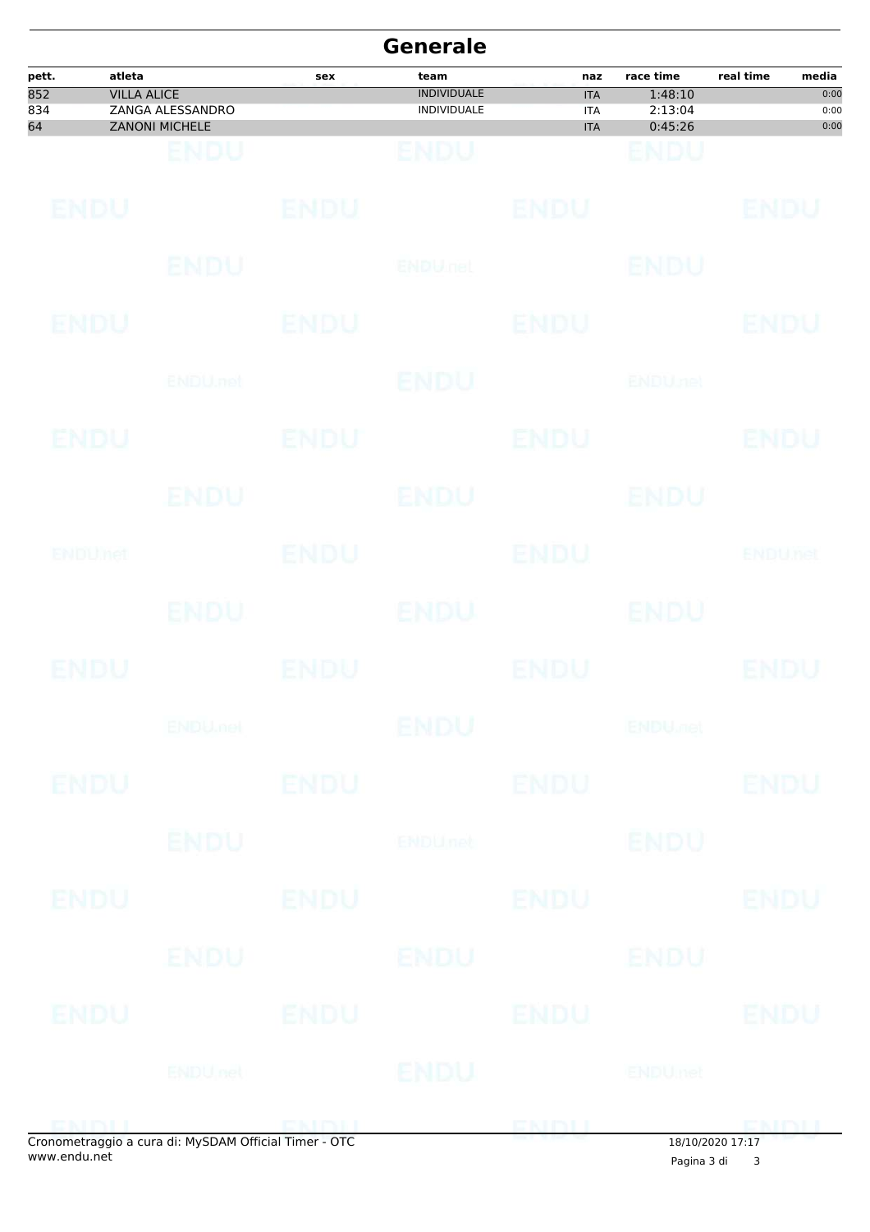|                           |                              |                                           |                              | <b>Generale</b>                                  |                                               |                                            |                |                               |
|---------------------------|------------------------------|-------------------------------------------|------------------------------|--------------------------------------------------|-----------------------------------------------|--------------------------------------------|----------------|-------------------------------|
| pett.<br>852<br>834<br>64 | atleta<br><b>VILLA ALICE</b> | ZANGA ALESSANDRO<br><b>ZANONI MICHELE</b> | sex                          | team<br><b>INDIVIDUALE</b><br><b>INDIVIDUALE</b> | naz<br><b>ITA</b><br><b>ITA</b><br><b>ITA</b> | race time<br>1:48:10<br>2:13:04<br>0:45:26 | real time      | media<br>0:00<br>0:00<br>0:00 |
|                           |                              | ENDU                                      |                              | BNDU                                             |                                               | ENDU                                       |                |                               |
|                           | ENDU                         |                                           | <b>ENDU</b>                  |                                                  | <b>ENDU</b>                                   |                                            | <b>ENDU</b>    |                               |
|                           |                              | <b>ENDU</b>                               |                              | <b>ENDULIEL</b>                                  |                                               | <b>ENDU</b>                                |                |                               |
|                           | <b>ENDU</b>                  |                                           | <b>ENDU</b>                  |                                                  | <b>ENDU</b>                                   |                                            | <b>ENDU</b>    |                               |
|                           |                              | ENDU.net                                  |                              | <b>ENDU</b>                                      |                                               | <b>ENDUnet</b>                             |                |                               |
|                           | ENDU                         |                                           | <b>ENDU</b>                  |                                                  | <b>ENDU</b>                                   |                                            | <b>ENDU</b>    |                               |
|                           |                              | ENDU                                      |                              | <b>ENDU</b>                                      |                                               | <b>ENDU</b>                                |                |                               |
|                           | ENDUMet                      |                                           | <b>ENDU</b>                  |                                                  | <b>ENDU</b>                                   |                                            | <b>ENDUTEL</b> |                               |
|                           |                              | ENDU.                                     |                              | ENDU                                             |                                               | <b>ENDU</b>                                |                |                               |
|                           | ENDU                         |                                           | ENDU                         |                                                  | ENDU                                          |                                            | ENDU           |                               |
|                           |                              | <b>ENDUMOL</b>                            |                              | <b>ENDU</b>                                      |                                               | <b>ENDU<sub>DER</sub></b>                  |                |                               |
|                           | <b>ENDU</b>                  |                                           | <b>ENDU</b>                  |                                                  | <b>ENDU</b>                                   |                                            | <b>ENDU</b>    |                               |
|                           |                              | <b>ENDU</b>                               |                              | ENDUnct                                          |                                               | <b>ENDU</b>                                |                |                               |
|                           | ENDU                         |                                           | <b>ENDU</b>                  |                                                  | <b>ENDU</b>                                   |                                            | <b>ENDU</b>    |                               |
|                           |                              | ENDU                                      |                              | ENDU                                             |                                               | ENDU                                       |                |                               |
|                           | ENDU                         |                                           | ENDU                         |                                                  | <b>ENDU</b>                                   |                                            | <b>ENDU</b>    |                               |
|                           |                              | <b>ENDUnet</b>                            |                              | ENDU                                             |                                               | <b>ENDUmet</b>                             |                |                               |
|                           |                              |                                           | $P = M$ CRAM OCC $T = T$ OTO |                                                  | ENDLL                                         |                                            | <b>CMDII</b>   |                               |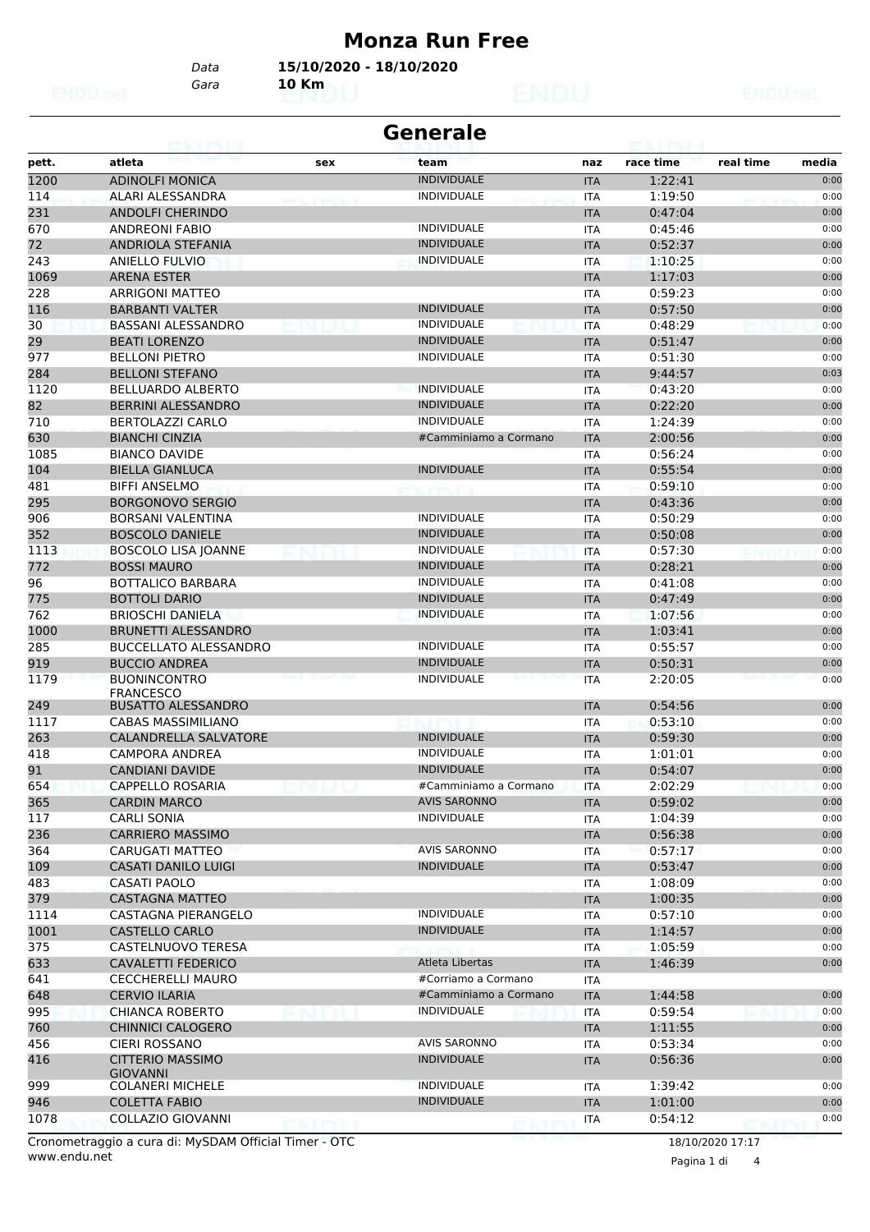#### **Monza Run Free**

*Gara* **10 Km** *Data* **15/10/2020 - 18/10/2020**

|       | <b>Generale</b>                            |        |                       |            |           |                    |  |  |  |
|-------|--------------------------------------------|--------|-----------------------|------------|-----------|--------------------|--|--|--|
| pett. | atleta                                     | sex    | team                  | naz        | race time | real time<br>media |  |  |  |
| 1200  | <b>ADINOLFI MONICA</b>                     |        | <b>INDIVIDUALE</b>    | <b>ITA</b> | 1:22:41   | 0:00               |  |  |  |
| 114   | ALARI ALESSANDRA                           |        | <b>INDIVIDUALE</b>    | <b>ITA</b> | 1:19:50   | 0:00               |  |  |  |
| 231   | <b>ANDOLFI CHERINDO</b>                    |        |                       | <b>ITA</b> | 0:47:04   | 0:00               |  |  |  |
| 670   | <b>ANDREONI FABIO</b>                      |        | <b>INDIVIDUALE</b>    | <b>ITA</b> | 0:45:46   | 0:00               |  |  |  |
| 72    | <b>ANDRIOLA STEFANIA</b>                   |        | <b>INDIVIDUALE</b>    | <b>ITA</b> | 0:52:37   | 0:00               |  |  |  |
| 243   | ANIELLO FULVIO                             |        | <b>INDIVIDUALE</b>    | ITA        | 1:10:25   | 0:00               |  |  |  |
| 1069  | <b>ARENA ESTER</b>                         |        |                       | <b>ITA</b> | 1:17:03   | 0:00               |  |  |  |
| 228   | <b>ARRIGONI MATTEO</b>                     |        |                       | <b>ITA</b> | 0:59:23   | 0:00               |  |  |  |
| 116   | <b>BARBANTI VALTER</b>                     |        | <b>INDIVIDUALE</b>    | <b>ITA</b> | 0:57:50   | 0:00               |  |  |  |
| 30    | <b>BASSANI ALESSANDRO</b>                  |        | <b>INDIVIDUALE</b>    | <b>ITA</b> | 0:48:29   | 0:00               |  |  |  |
| 29    | <b>BEATI LORENZO</b>                       |        | <b>INDIVIDUALE</b>    | <b>ITA</b> | 0:51:47   | 0:00               |  |  |  |
| 977   | <b>BELLONI PIETRO</b>                      |        | <b>INDIVIDUALE</b>    | <b>ITA</b> | 0:51:30   | 0:00               |  |  |  |
| 284   | <b>BELLONI STEFANO</b>                     |        |                       | <b>ITA</b> | 9:44:57   | 0:03               |  |  |  |
| 1120  | <b>BELLUARDO ALBERTO</b>                   |        | <b>INDIVIDUALE</b>    | <b>ITA</b> | 0:43:20   | 0:00               |  |  |  |
| 82    | BERRINI ALESSANDRO                         |        | <b>INDIVIDUALE</b>    | <b>ITA</b> | 0:22:20   | 0:00               |  |  |  |
| 710   | <b>BERTOLAZZI CARLO</b>                    |        | <b>INDIVIDUALE</b>    | <b>ITA</b> | 1:24:39   | 0:00               |  |  |  |
| 630   | <b>BIANCHI CINZIA</b>                      |        | #Camminiamo a Cormano | <b>ITA</b> | 2:00:56   | 0:00               |  |  |  |
| 1085  | <b>BIANCO DAVIDE</b>                       |        |                       | <b>ITA</b> | 0:56:24   | 0:00               |  |  |  |
| 104   | <b>BIELLA GIANLUCA</b>                     |        | <b>INDIVIDUALE</b>    | <b>ITA</b> | 0:55:54   | 0:00               |  |  |  |
| 481   | <b>BIFFI ANSELMO</b>                       |        |                       | <b>ITA</b> | 0:59:10   | 0:00               |  |  |  |
| 295   | <b>BORGONOVO SERGIO</b>                    |        |                       | <b>ITA</b> | 0:43:36   | 0:00               |  |  |  |
| 906   | <b>BORSANI VALENTINA</b>                   |        | <b>INDIVIDUALE</b>    | <b>ITA</b> | 0:50:29   | 0:00               |  |  |  |
| 352   | <b>BOSCOLO DANIELE</b>                     |        | <b>INDIVIDUALE</b>    | <b>ITA</b> | 0:50:08   | 0:00               |  |  |  |
| 1113  | <b>BOSCOLO LISA JOANNE</b>                 |        | <b>INDIVIDUALE</b>    | <b>ITA</b> | 0:57:30   | 0:00               |  |  |  |
| 772   | <b>BOSSI MAURO</b>                         |        | <b>INDIVIDUALE</b>    | <b>ITA</b> | 0:28:21   | 0:00               |  |  |  |
| 96    | <b>BOTTALICO BARBARA</b>                   |        | <b>INDIVIDUALE</b>    | <b>ITA</b> | 0:41:08   | 0:00               |  |  |  |
| 775   | <b>BOTTOLI DARIO</b>                       |        | <b>INDIVIDUALE</b>    | <b>ITA</b> | 0:47:49   | 0:00               |  |  |  |
| 762   | <b>BRIOSCHI DANIELA</b>                    |        | <b>INDIVIDUALE</b>    | <b>ITA</b> | 1:07:56   | 0:00               |  |  |  |
| 1000  | <b>BRUNETTI ALESSANDRO</b>                 |        |                       | <b>ITA</b> | 1:03:41   | 0:00               |  |  |  |
| 285   | <b>BUCCELLATO ALESSANDRO</b>               |        | <b>INDIVIDUALE</b>    | ITA        | 0:55:57   | 0:00               |  |  |  |
| 919   | <b>BUCCIO ANDREA</b>                       |        | <b>INDIVIDUALE</b>    | <b>ITA</b> | 0:50:31   | 0:00               |  |  |  |
| 1179  | <b>BUONINCONTRO</b><br><b>FRANCESCO</b>    |        | <b>INDIVIDUALE</b>    | <b>ITA</b> | 2:20:05   | 0:00               |  |  |  |
| 249   | <b>BUSATTO ALESSANDRO</b>                  |        |                       | <b>ITA</b> | 0:54:56   | 0:00               |  |  |  |
| 1117  | <b>CABAS MASSIMILIANO</b>                  |        |                       | <b>ITA</b> | 0:53:10   | 0:00               |  |  |  |
| 263   | CALANDRELLA SALVATORE                      |        | <b>INDIVIDUALE</b>    | <b>ITA</b> | 0:59:30   | 0:00               |  |  |  |
| 418   | <b>CAMPORA ANDREA</b>                      |        | <b>INDIVIDUALE</b>    | ITA        | 1:01:01   | 0:00               |  |  |  |
| 91    | <b>CANDIANI DAVIDE</b>                     |        | <b>INDIVIDUALE</b>    | <b>ITA</b> | 0:54:07   | 0:00               |  |  |  |
| 654   | <b>CAPPELLO ROSARIA</b>                    |        | #Camminiamo a Cormano | ITA        | 2:02:29   | 0:00               |  |  |  |
| 365   | <b>CARDIN MARCO</b>                        |        | <b>AVIS SARONNO</b>   | <b>ITA</b> | 0:59:02   | 0:00               |  |  |  |
| 117   | <b>CARLI SONIA</b>                         |        | <b>INDIVIDUALE</b>    | ITA        | 1:04:39   | 0:00               |  |  |  |
| 236   | <b>CARRIERO MASSIMO</b>                    |        |                       | <b>ITA</b> | 0:56:38   | 0:00               |  |  |  |
| 364   | CARUGATI MATTEO                            |        | <b>AVIS SARONNO</b>   | ITA        | 0:57:17   | 0:00               |  |  |  |
| 109   | <b>CASATI DANILO LUIGI</b>                 |        | <b>INDIVIDUALE</b>    | <b>ITA</b> | 0:53:47   | 0:00               |  |  |  |
| 483   | CASATI PAOLO                               |        |                       | ITA        | 1:08:09   | 0:00               |  |  |  |
| 379   | <b>CASTAGNA MATTEO</b>                     |        |                       | <b>ITA</b> | 1:00:35   | 0:00               |  |  |  |
| 1114  | CASTAGNA PIERANGELO                        |        | <b>INDIVIDUALE</b>    | ITA        | 0:57:10   | 0:00               |  |  |  |
| 1001  | <b>CASTELLO CARLO</b>                      |        | <b>INDIVIDUALE</b>    | <b>ITA</b> | 1:14:57   | 0:00               |  |  |  |
| 375   | CASTELNUOVO TERESA                         |        |                       | ITA        | 1:05:59   | 0:00               |  |  |  |
| 633   | <b>CAVALETTI FEDERICO</b>                  |        | Atleta Libertas       | <b>ITA</b> | 1:46:39   | 0:00               |  |  |  |
| 641   | <b>CECCHERELLI MAURO</b>                   |        | #Corriamo a Cormano   | ITA        |           |                    |  |  |  |
| 648   | <b>CERVIO ILARIA</b>                       |        | #Camminiamo a Cormano | <b>ITA</b> | 1:44:58   | 0:00               |  |  |  |
| 995   | <b>CHIANCA ROBERTO</b>                     |        | <b>INDIVIDUALE</b>    | ITA        | 0:59:54   | 0:00               |  |  |  |
| 760   | <b>CHINNICI CALOGERO</b>                   |        |                       | <b>ITA</b> | 1:11:55   | 0:00               |  |  |  |
| 456   | CIERI ROSSANO                              |        | <b>AVIS SARONNO</b>   | <b>ITA</b> | 0:53:34   | 0:00               |  |  |  |
| 416   | <b>CITTERIO MASSIMO</b><br><b>GIOVANNI</b> |        | <b>INDIVIDUALE</b>    | <b>ITA</b> | 0:56:36   | 0:00               |  |  |  |
| 999   | <b>COLANERI MICHELE</b>                    |        | <b>INDIVIDUALE</b>    | ITA        | 1:39:42   | 0:00               |  |  |  |
| 946   | <b>COLETTA FABIO</b>                       |        | <b>INDIVIDUALE</b>    | <b>ITA</b> | 1:01:00   | 0:00               |  |  |  |
| 1078  | COLLAZIO GIOVANNI                          | enirii |                       | ITA        | 0:54:12   | 0:00               |  |  |  |

www.endu.net Cronometraggio a cura di: MySDAM Official Timer - OTC 18/10/2020 17:17

Pagina 1 di 4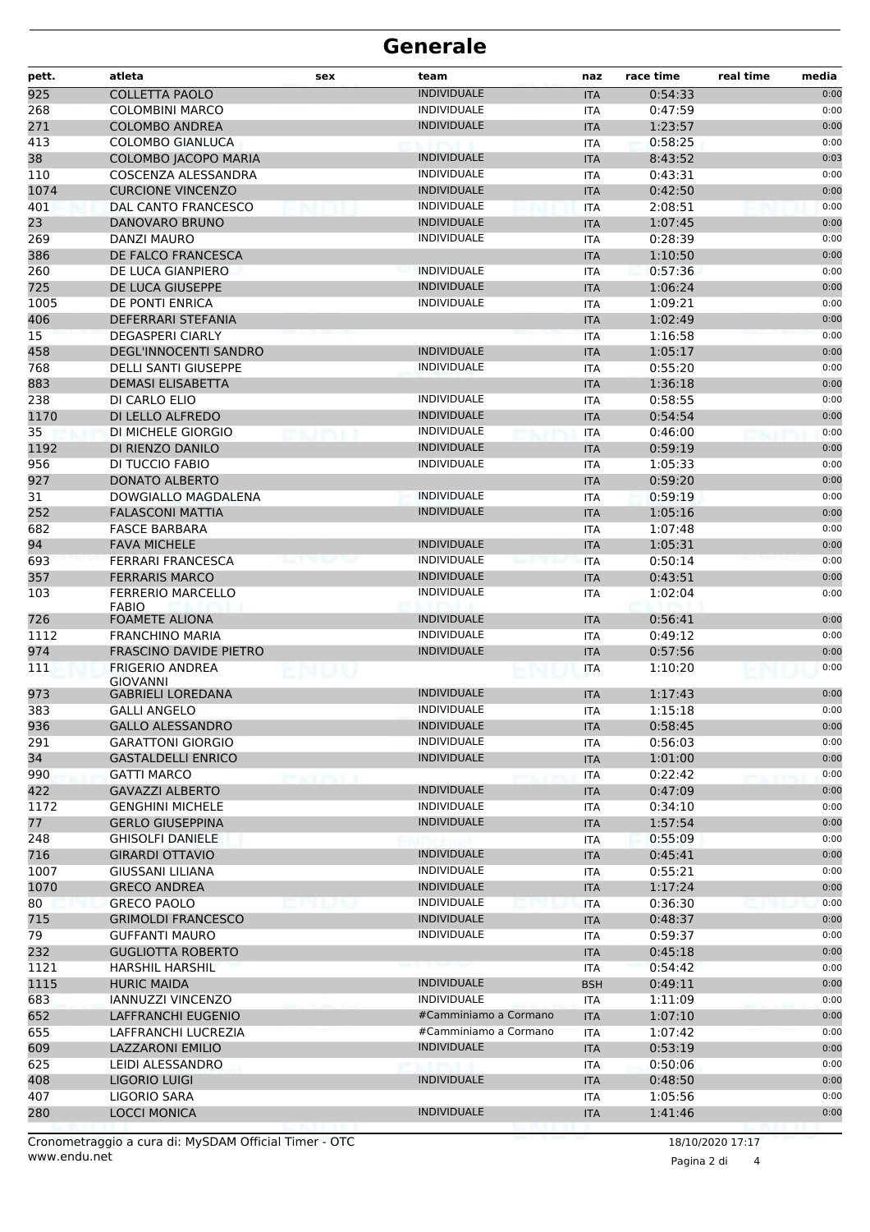| <b>INDIVIDUALE</b><br><b>COLLETTA PAOLO</b><br>0:54:33<br>0:00<br><b>ITA</b><br><b>INDIVIDUALE</b><br>0:00<br><b>COLOMBINI MARCO</b><br>0:47:59<br><b>ITA</b><br><b>INDIVIDUALE</b><br><b>COLOMBO ANDREA</b><br>1:23:57<br>0:00<br><b>ITA</b><br><b>COLOMBO GIANLUCA</b><br>0:58:25<br>0:00<br><b>ITA</b><br>38<br><b>INDIVIDUALE</b><br>COLOMBO JACOPO MARIA<br><b>ITA</b><br>8:43:52<br>0:03<br>110<br><b>INDIVIDUALE</b><br>COSCENZA ALESSANDRA<br>0:43:31<br>0:00<br><b>ITA</b><br><b>INDIVIDUALE</b><br>1074<br><b>CURCIONE VINCENZO</b><br>0:42:50<br>0:00<br><b>ITA</b><br><b>INDIVIDUALE</b><br>0:00<br>401<br>DAL CANTO FRANCESCO<br>2:08:51<br><b>ITA</b><br><b>INDIVIDUALE</b><br>23<br><b>DANOVARO BRUNO</b><br>1:07:45<br>0:00<br><b>ITA</b><br>269<br><b>INDIVIDUALE</b><br><b>DANZI MAURO</b><br>0:28:39<br>0:00<br>ITA<br>386<br>DE FALCO FRANCESCA<br><b>ITA</b><br>1:10:50<br>0:00<br>260<br><b>INDIVIDUALE</b><br>DE LUCA GIANPIERO<br>0:57:36<br>0:00<br><b>ITA</b><br>725<br><b>INDIVIDUALE</b><br>DE LUCA GIUSEPPE<br>1:06:24<br>0:00<br><b>ITA</b><br>1005<br><b>INDIVIDUALE</b><br>1:09:21<br>0:00<br>DE PONTI ENRICA<br><b>ITA</b><br>406<br>DEFERRARI STEFANIA<br>1:02:49<br>0:00<br><b>ITA</b><br>15<br><b>DEGASPERI CIARLY</b><br>1:16:58<br><b>ITA</b><br>0:00<br><b>INDIVIDUALE</b><br>458<br><b>DEGL'INNOCENTI SANDRO</b><br>1:05:17<br><b>ITA</b><br>0:00<br><b>INDIVIDUALE</b><br>768<br><b>DELLI SANTI GIUSEPPE</b><br>0:55:20<br>0:00<br><b>ITA</b><br>883<br><b>DEMASI ELISABETTA</b><br>1:36:18<br>0:00<br><b>ITA</b><br>238<br><b>INDIVIDUALE</b><br>0:58:55<br>0:00<br>DI CARLO ELIO<br><b>ITA</b><br><b>INDIVIDUALE</b><br>1170<br>DI LELLO ALFREDO<br>0:54:54<br>0:00<br><b>ITA</b><br>35<br>DI MICHELE GIORGIO<br><b>INDIVIDUALE</b><br>0:46:00<br>0:00<br>ITA<br>1192<br><b>INDIVIDUALE</b><br>0:59:19<br>DI RIENZO DANILO<br>0:00<br><b>ITA</b><br>956<br><b>INDIVIDUALE</b><br>DI TUCCIO FABIO<br>1:05:33<br>0:00<br><b>ITA</b><br>927<br><b>DONATO ALBERTO</b><br>0:59:20<br>0:00<br><b>ITA</b><br>31<br><b>INDIVIDUALE</b><br>0:59:19<br>0:00<br>DOWGIALLO MAGDALENA<br><b>ITA</b><br>252<br><b>INDIVIDUALE</b><br><b>FALASCONI MATTIA</b><br>1:05:16<br>0:00<br><b>ITA</b><br>682<br><b>FASCE BARBARA</b><br>1:07:48<br><b>ITA</b><br>0:00<br>94<br><b>FAVA MICHELE</b><br><b>INDIVIDUALE</b><br>1:05:31<br><b>ITA</b><br>0:00<br><b>INDIVIDUALE</b><br>693<br><b>FERRARI FRANCESCA</b><br>0:50:14<br>0:00<br><b>ITA</b><br>357<br><b>FERRARIS MARCO</b><br><b>INDIVIDUALE</b><br>0:43:51<br>0:00<br><b>ITA</b><br><b>FERRERIO MARCELLO</b><br><b>INDIVIDUALE</b><br>0:00<br>103<br>1:02:04<br><b>ITA</b><br><b>FABIO</b><br><b>INDIVIDUALE</b><br>0:56:41<br>0:00<br>FOAMETE ALIONA<br><b>ITA</b><br><b>INDIVIDUALE</b><br>0:49:12<br><b>FRANCHINO MARIA</b><br>0:00<br><b>ITA</b><br><b>FRASCINO DAVIDE PIETRO</b><br><b>INDIVIDUALE</b><br>0:57:56<br><b>ITA</b><br>0:00<br>0:00<br>111<br><b>FRIGERIO ANDREA</b><br>1:10:20<br><b>ITA</b><br>NUU<br>GIOVANNI<br><b>INDIVIDUALE</b><br>973<br>0:00<br><b>GABRIELI LOREDANA</b><br>1:17:43<br><b>ITA</b><br><b>INDIVIDUALE</b><br><b>GALLI ANGELO</b><br>1:15:18<br>0:00<br><b>ITA</b><br>936<br><b>GALLO ALESSANDRO</b><br><b>INDIVIDUALE</b><br>0:58:45<br>0:00<br><b>ITA</b><br><b>INDIVIDUALE</b><br>0:00<br><b>GARATTONI GIORGIO</b><br>0:56:03<br>ITA<br><b>INDIVIDUALE</b><br><b>GASTALDELLI ENRICO</b><br>0:00<br><b>ITA</b><br>1:01:00<br>0:00<br><b>GATTI MARCO</b><br>0:22:42<br>ITA<br><b>INDIVIDUALE</b><br>0:00<br><b>GAVAZZI ALBERTO</b><br><b>ITA</b><br>0:47:09<br><b>INDIVIDUALE</b><br><b>GENGHINI MICHELE</b><br>0:34:10<br>0:00<br><b>ITA</b><br><b>INDIVIDUALE</b><br>0:00<br><b>GERLO GIUSEPPINA</b><br><b>ITA</b><br>1:57:54<br>0:00<br>0:55:09<br><b>GHISOLFI DANIELE</b><br>ITA<br><b>GIRARDI OTTAVIO</b><br><b>INDIVIDUALE</b><br><b>ITA</b><br>0:45:41<br>0:00<br><b>INDIVIDUALE</b><br><b>GIUSSANI LILIANA</b><br><b>ITA</b><br>0:55:21<br>0:00<br><b>INDIVIDUALE</b><br><b>GRECO ANDREA</b><br>1:17:24<br>0:00<br><b>ITA</b><br><b>INDIVIDUALE</b><br><b>GRECO PAOLO</b><br>0:36:30<br>0:00<br><b>ITA</b><br><b>INDIVIDUALE</b><br>0:00<br><b>GRIMOLDI FRANCESCO</b><br>0:48:37<br><b>ITA</b><br><b>INDIVIDUALE</b><br>0:00<br><b>GUFFANTI MAURO</b><br>0:59:37<br>ITA<br><b>GUGLIOTTA ROBERTO</b><br><b>ITA</b><br>0:45:18<br>0:00<br>0:00<br><b>HARSHIL HARSHIL</b><br>0:54:42<br>ITA<br><b>INDIVIDUALE</b><br><b>HURIC MAIDA</b><br>0:00<br><b>BSH</b><br>0:49:11<br><b>IANNUZZI VINCENZO</b><br><b>INDIVIDUALE</b><br>1:11:09<br>0:00<br><b>ITA</b><br>#Camminiamo a Cormano<br>LAFFRANCHI EUGENIO<br>1:07:10<br>0:00<br><b>ITA</b><br>0:00<br>#Camminiamo a Cormano<br>LAFFRANCHI LUCREZIA<br><b>ITA</b><br>1:07:42<br><b>INDIVIDUALE</b><br>0:53:19<br><b>LAZZARONI EMILIO</b><br><b>ITA</b><br>0:00<br>LEIDI ALESSANDRO<br>0:50:06<br>0:00<br><b>ITA</b><br><b>INDIVIDUALE</b><br>LIGORIO LUIGI<br>0:00<br><b>ITA</b><br>0:48:50<br>LIGORIO SARA<br>1:05:56<br>0:00<br><b>ITA</b><br>280<br><b>INDIVIDUALE</b><br><b>LOCCI MONICA</b><br>1:41:46<br>0:00<br><b>ITA</b> | pett. | atleta | sex | team | naz | race time | real time<br>media |
|---------------------------------------------------------------------------------------------------------------------------------------------------------------------------------------------------------------------------------------------------------------------------------------------------------------------------------------------------------------------------------------------------------------------------------------------------------------------------------------------------------------------------------------------------------------------------------------------------------------------------------------------------------------------------------------------------------------------------------------------------------------------------------------------------------------------------------------------------------------------------------------------------------------------------------------------------------------------------------------------------------------------------------------------------------------------------------------------------------------------------------------------------------------------------------------------------------------------------------------------------------------------------------------------------------------------------------------------------------------------------------------------------------------------------------------------------------------------------------------------------------------------------------------------------------------------------------------------------------------------------------------------------------------------------------------------------------------------------------------------------------------------------------------------------------------------------------------------------------------------------------------------------------------------------------------------------------------------------------------------------------------------------------------------------------------------------------------------------------------------------------------------------------------------------------------------------------------------------------------------------------------------------------------------------------------------------------------------------------------------------------------------------------------------------------------------------------------------------------------------------------------------------------------------------------------------------------------------------------------------------------------------------------------------------------------------------------------------------------------------------------------------------------------------------------------------------------------------------------------------------------------------------------------------------------------------------------------------------------------------------------------------------------------------------------------------------------------------------------------------------------------------------------------------------------------------------------------------------------------------------------------------------------------------------------------------------------------------------------------------------------------------------------------------------------------------------------------------------------------------------------------------------------------------------------------------------------------------------------------------------------------------------------------------------------------------------------------------------------------------------------------------------------------------------------------------------------------------------------------------------------------------------------------------------------------------------------------------------------------------------------------------------------------------------------------------------------------------------------------------------------------------------------------------------------------------------------------------------------------------------------------------------------------------------------------------------------------------------------------------------------------------------------------------------------------------------------------------------------------------------------------------------------------------------------------------------------------------------------------------------------------------------------------------------------------------------------------------------------------------------------------------------------------------------------------------------------------------------------------------------------------------------------------------------------------------------------------------------------------------------------------------------------------------------------------------------------------------------------------|-------|--------|-----|------|-----|-----------|--------------------|
|                                                                                                                                                                                                                                                                                                                                                                                                                                                                                                                                                                                                                                                                                                                                                                                                                                                                                                                                                                                                                                                                                                                                                                                                                                                                                                                                                                                                                                                                                                                                                                                                                                                                                                                                                                                                                                                                                                                                                                                                                                                                                                                                                                                                                                                                                                                                                                                                                                                                                                                                                                                                                                                                                                                                                                                                                                                                                                                                                                                                                                                                                                                                                                                                                                                                                                                                                                                                                                                                                                                                                                                                                                                                                                                                                                                                                                                                                                                                                                                                                                                                                                                                                                                                                                                                                                                                                                                                                                                                                                                                                                                                                                                                                                                                                                                                                                                                                                                                                                                                                                                                                                               | 925   |        |     |      |     |           |                    |
|                                                                                                                                                                                                                                                                                                                                                                                                                                                                                                                                                                                                                                                                                                                                                                                                                                                                                                                                                                                                                                                                                                                                                                                                                                                                                                                                                                                                                                                                                                                                                                                                                                                                                                                                                                                                                                                                                                                                                                                                                                                                                                                                                                                                                                                                                                                                                                                                                                                                                                                                                                                                                                                                                                                                                                                                                                                                                                                                                                                                                                                                                                                                                                                                                                                                                                                                                                                                                                                                                                                                                                                                                                                                                                                                                                                                                                                                                                                                                                                                                                                                                                                                                                                                                                                                                                                                                                                                                                                                                                                                                                                                                                                                                                                                                                                                                                                                                                                                                                                                                                                                                                               | 268   |        |     |      |     |           |                    |
|                                                                                                                                                                                                                                                                                                                                                                                                                                                                                                                                                                                                                                                                                                                                                                                                                                                                                                                                                                                                                                                                                                                                                                                                                                                                                                                                                                                                                                                                                                                                                                                                                                                                                                                                                                                                                                                                                                                                                                                                                                                                                                                                                                                                                                                                                                                                                                                                                                                                                                                                                                                                                                                                                                                                                                                                                                                                                                                                                                                                                                                                                                                                                                                                                                                                                                                                                                                                                                                                                                                                                                                                                                                                                                                                                                                                                                                                                                                                                                                                                                                                                                                                                                                                                                                                                                                                                                                                                                                                                                                                                                                                                                                                                                                                                                                                                                                                                                                                                                                                                                                                                                               | 271   |        |     |      |     |           |                    |
|                                                                                                                                                                                                                                                                                                                                                                                                                                                                                                                                                                                                                                                                                                                                                                                                                                                                                                                                                                                                                                                                                                                                                                                                                                                                                                                                                                                                                                                                                                                                                                                                                                                                                                                                                                                                                                                                                                                                                                                                                                                                                                                                                                                                                                                                                                                                                                                                                                                                                                                                                                                                                                                                                                                                                                                                                                                                                                                                                                                                                                                                                                                                                                                                                                                                                                                                                                                                                                                                                                                                                                                                                                                                                                                                                                                                                                                                                                                                                                                                                                                                                                                                                                                                                                                                                                                                                                                                                                                                                                                                                                                                                                                                                                                                                                                                                                                                                                                                                                                                                                                                                                               | 413   |        |     |      |     |           |                    |
|                                                                                                                                                                                                                                                                                                                                                                                                                                                                                                                                                                                                                                                                                                                                                                                                                                                                                                                                                                                                                                                                                                                                                                                                                                                                                                                                                                                                                                                                                                                                                                                                                                                                                                                                                                                                                                                                                                                                                                                                                                                                                                                                                                                                                                                                                                                                                                                                                                                                                                                                                                                                                                                                                                                                                                                                                                                                                                                                                                                                                                                                                                                                                                                                                                                                                                                                                                                                                                                                                                                                                                                                                                                                                                                                                                                                                                                                                                                                                                                                                                                                                                                                                                                                                                                                                                                                                                                                                                                                                                                                                                                                                                                                                                                                                                                                                                                                                                                                                                                                                                                                                                               |       |        |     |      |     |           |                    |
|                                                                                                                                                                                                                                                                                                                                                                                                                                                                                                                                                                                                                                                                                                                                                                                                                                                                                                                                                                                                                                                                                                                                                                                                                                                                                                                                                                                                                                                                                                                                                                                                                                                                                                                                                                                                                                                                                                                                                                                                                                                                                                                                                                                                                                                                                                                                                                                                                                                                                                                                                                                                                                                                                                                                                                                                                                                                                                                                                                                                                                                                                                                                                                                                                                                                                                                                                                                                                                                                                                                                                                                                                                                                                                                                                                                                                                                                                                                                                                                                                                                                                                                                                                                                                                                                                                                                                                                                                                                                                                                                                                                                                                                                                                                                                                                                                                                                                                                                                                                                                                                                                                               |       |        |     |      |     |           |                    |
|                                                                                                                                                                                                                                                                                                                                                                                                                                                                                                                                                                                                                                                                                                                                                                                                                                                                                                                                                                                                                                                                                                                                                                                                                                                                                                                                                                                                                                                                                                                                                                                                                                                                                                                                                                                                                                                                                                                                                                                                                                                                                                                                                                                                                                                                                                                                                                                                                                                                                                                                                                                                                                                                                                                                                                                                                                                                                                                                                                                                                                                                                                                                                                                                                                                                                                                                                                                                                                                                                                                                                                                                                                                                                                                                                                                                                                                                                                                                                                                                                                                                                                                                                                                                                                                                                                                                                                                                                                                                                                                                                                                                                                                                                                                                                                                                                                                                                                                                                                                                                                                                                                               |       |        |     |      |     |           |                    |
|                                                                                                                                                                                                                                                                                                                                                                                                                                                                                                                                                                                                                                                                                                                                                                                                                                                                                                                                                                                                                                                                                                                                                                                                                                                                                                                                                                                                                                                                                                                                                                                                                                                                                                                                                                                                                                                                                                                                                                                                                                                                                                                                                                                                                                                                                                                                                                                                                                                                                                                                                                                                                                                                                                                                                                                                                                                                                                                                                                                                                                                                                                                                                                                                                                                                                                                                                                                                                                                                                                                                                                                                                                                                                                                                                                                                                                                                                                                                                                                                                                                                                                                                                                                                                                                                                                                                                                                                                                                                                                                                                                                                                                                                                                                                                                                                                                                                                                                                                                                                                                                                                                               |       |        |     |      |     |           |                    |
|                                                                                                                                                                                                                                                                                                                                                                                                                                                                                                                                                                                                                                                                                                                                                                                                                                                                                                                                                                                                                                                                                                                                                                                                                                                                                                                                                                                                                                                                                                                                                                                                                                                                                                                                                                                                                                                                                                                                                                                                                                                                                                                                                                                                                                                                                                                                                                                                                                                                                                                                                                                                                                                                                                                                                                                                                                                                                                                                                                                                                                                                                                                                                                                                                                                                                                                                                                                                                                                                                                                                                                                                                                                                                                                                                                                                                                                                                                                                                                                                                                                                                                                                                                                                                                                                                                                                                                                                                                                                                                                                                                                                                                                                                                                                                                                                                                                                                                                                                                                                                                                                                                               |       |        |     |      |     |           |                    |
|                                                                                                                                                                                                                                                                                                                                                                                                                                                                                                                                                                                                                                                                                                                                                                                                                                                                                                                                                                                                                                                                                                                                                                                                                                                                                                                                                                                                                                                                                                                                                                                                                                                                                                                                                                                                                                                                                                                                                                                                                                                                                                                                                                                                                                                                                                                                                                                                                                                                                                                                                                                                                                                                                                                                                                                                                                                                                                                                                                                                                                                                                                                                                                                                                                                                                                                                                                                                                                                                                                                                                                                                                                                                                                                                                                                                                                                                                                                                                                                                                                                                                                                                                                                                                                                                                                                                                                                                                                                                                                                                                                                                                                                                                                                                                                                                                                                                                                                                                                                                                                                                                                               |       |        |     |      |     |           |                    |
|                                                                                                                                                                                                                                                                                                                                                                                                                                                                                                                                                                                                                                                                                                                                                                                                                                                                                                                                                                                                                                                                                                                                                                                                                                                                                                                                                                                                                                                                                                                                                                                                                                                                                                                                                                                                                                                                                                                                                                                                                                                                                                                                                                                                                                                                                                                                                                                                                                                                                                                                                                                                                                                                                                                                                                                                                                                                                                                                                                                                                                                                                                                                                                                                                                                                                                                                                                                                                                                                                                                                                                                                                                                                                                                                                                                                                                                                                                                                                                                                                                                                                                                                                                                                                                                                                                                                                                                                                                                                                                                                                                                                                                                                                                                                                                                                                                                                                                                                                                                                                                                                                                               |       |        |     |      |     |           |                    |
|                                                                                                                                                                                                                                                                                                                                                                                                                                                                                                                                                                                                                                                                                                                                                                                                                                                                                                                                                                                                                                                                                                                                                                                                                                                                                                                                                                                                                                                                                                                                                                                                                                                                                                                                                                                                                                                                                                                                                                                                                                                                                                                                                                                                                                                                                                                                                                                                                                                                                                                                                                                                                                                                                                                                                                                                                                                                                                                                                                                                                                                                                                                                                                                                                                                                                                                                                                                                                                                                                                                                                                                                                                                                                                                                                                                                                                                                                                                                                                                                                                                                                                                                                                                                                                                                                                                                                                                                                                                                                                                                                                                                                                                                                                                                                                                                                                                                                                                                                                                                                                                                                                               |       |        |     |      |     |           |                    |
|                                                                                                                                                                                                                                                                                                                                                                                                                                                                                                                                                                                                                                                                                                                                                                                                                                                                                                                                                                                                                                                                                                                                                                                                                                                                                                                                                                                                                                                                                                                                                                                                                                                                                                                                                                                                                                                                                                                                                                                                                                                                                                                                                                                                                                                                                                                                                                                                                                                                                                                                                                                                                                                                                                                                                                                                                                                                                                                                                                                                                                                                                                                                                                                                                                                                                                                                                                                                                                                                                                                                                                                                                                                                                                                                                                                                                                                                                                                                                                                                                                                                                                                                                                                                                                                                                                                                                                                                                                                                                                                                                                                                                                                                                                                                                                                                                                                                                                                                                                                                                                                                                                               |       |        |     |      |     |           |                    |
|                                                                                                                                                                                                                                                                                                                                                                                                                                                                                                                                                                                                                                                                                                                                                                                                                                                                                                                                                                                                                                                                                                                                                                                                                                                                                                                                                                                                                                                                                                                                                                                                                                                                                                                                                                                                                                                                                                                                                                                                                                                                                                                                                                                                                                                                                                                                                                                                                                                                                                                                                                                                                                                                                                                                                                                                                                                                                                                                                                                                                                                                                                                                                                                                                                                                                                                                                                                                                                                                                                                                                                                                                                                                                                                                                                                                                                                                                                                                                                                                                                                                                                                                                                                                                                                                                                                                                                                                                                                                                                                                                                                                                                                                                                                                                                                                                                                                                                                                                                                                                                                                                                               |       |        |     |      |     |           |                    |
|                                                                                                                                                                                                                                                                                                                                                                                                                                                                                                                                                                                                                                                                                                                                                                                                                                                                                                                                                                                                                                                                                                                                                                                                                                                                                                                                                                                                                                                                                                                                                                                                                                                                                                                                                                                                                                                                                                                                                                                                                                                                                                                                                                                                                                                                                                                                                                                                                                                                                                                                                                                                                                                                                                                                                                                                                                                                                                                                                                                                                                                                                                                                                                                                                                                                                                                                                                                                                                                                                                                                                                                                                                                                                                                                                                                                                                                                                                                                                                                                                                                                                                                                                                                                                                                                                                                                                                                                                                                                                                                                                                                                                                                                                                                                                                                                                                                                                                                                                                                                                                                                                                               |       |        |     |      |     |           |                    |
|                                                                                                                                                                                                                                                                                                                                                                                                                                                                                                                                                                                                                                                                                                                                                                                                                                                                                                                                                                                                                                                                                                                                                                                                                                                                                                                                                                                                                                                                                                                                                                                                                                                                                                                                                                                                                                                                                                                                                                                                                                                                                                                                                                                                                                                                                                                                                                                                                                                                                                                                                                                                                                                                                                                                                                                                                                                                                                                                                                                                                                                                                                                                                                                                                                                                                                                                                                                                                                                                                                                                                                                                                                                                                                                                                                                                                                                                                                                                                                                                                                                                                                                                                                                                                                                                                                                                                                                                                                                                                                                                                                                                                                                                                                                                                                                                                                                                                                                                                                                                                                                                                                               |       |        |     |      |     |           |                    |
|                                                                                                                                                                                                                                                                                                                                                                                                                                                                                                                                                                                                                                                                                                                                                                                                                                                                                                                                                                                                                                                                                                                                                                                                                                                                                                                                                                                                                                                                                                                                                                                                                                                                                                                                                                                                                                                                                                                                                                                                                                                                                                                                                                                                                                                                                                                                                                                                                                                                                                                                                                                                                                                                                                                                                                                                                                                                                                                                                                                                                                                                                                                                                                                                                                                                                                                                                                                                                                                                                                                                                                                                                                                                                                                                                                                                                                                                                                                                                                                                                                                                                                                                                                                                                                                                                                                                                                                                                                                                                                                                                                                                                                                                                                                                                                                                                                                                                                                                                                                                                                                                                                               |       |        |     |      |     |           |                    |
|                                                                                                                                                                                                                                                                                                                                                                                                                                                                                                                                                                                                                                                                                                                                                                                                                                                                                                                                                                                                                                                                                                                                                                                                                                                                                                                                                                                                                                                                                                                                                                                                                                                                                                                                                                                                                                                                                                                                                                                                                                                                                                                                                                                                                                                                                                                                                                                                                                                                                                                                                                                                                                                                                                                                                                                                                                                                                                                                                                                                                                                                                                                                                                                                                                                                                                                                                                                                                                                                                                                                                                                                                                                                                                                                                                                                                                                                                                                                                                                                                                                                                                                                                                                                                                                                                                                                                                                                                                                                                                                                                                                                                                                                                                                                                                                                                                                                                                                                                                                                                                                                                                               |       |        |     |      |     |           |                    |
|                                                                                                                                                                                                                                                                                                                                                                                                                                                                                                                                                                                                                                                                                                                                                                                                                                                                                                                                                                                                                                                                                                                                                                                                                                                                                                                                                                                                                                                                                                                                                                                                                                                                                                                                                                                                                                                                                                                                                                                                                                                                                                                                                                                                                                                                                                                                                                                                                                                                                                                                                                                                                                                                                                                                                                                                                                                                                                                                                                                                                                                                                                                                                                                                                                                                                                                                                                                                                                                                                                                                                                                                                                                                                                                                                                                                                                                                                                                                                                                                                                                                                                                                                                                                                                                                                                                                                                                                                                                                                                                                                                                                                                                                                                                                                                                                                                                                                                                                                                                                                                                                                                               |       |        |     |      |     |           |                    |
|                                                                                                                                                                                                                                                                                                                                                                                                                                                                                                                                                                                                                                                                                                                                                                                                                                                                                                                                                                                                                                                                                                                                                                                                                                                                                                                                                                                                                                                                                                                                                                                                                                                                                                                                                                                                                                                                                                                                                                                                                                                                                                                                                                                                                                                                                                                                                                                                                                                                                                                                                                                                                                                                                                                                                                                                                                                                                                                                                                                                                                                                                                                                                                                                                                                                                                                                                                                                                                                                                                                                                                                                                                                                                                                                                                                                                                                                                                                                                                                                                                                                                                                                                                                                                                                                                                                                                                                                                                                                                                                                                                                                                                                                                                                                                                                                                                                                                                                                                                                                                                                                                                               |       |        |     |      |     |           |                    |
|                                                                                                                                                                                                                                                                                                                                                                                                                                                                                                                                                                                                                                                                                                                                                                                                                                                                                                                                                                                                                                                                                                                                                                                                                                                                                                                                                                                                                                                                                                                                                                                                                                                                                                                                                                                                                                                                                                                                                                                                                                                                                                                                                                                                                                                                                                                                                                                                                                                                                                                                                                                                                                                                                                                                                                                                                                                                                                                                                                                                                                                                                                                                                                                                                                                                                                                                                                                                                                                                                                                                                                                                                                                                                                                                                                                                                                                                                                                                                                                                                                                                                                                                                                                                                                                                                                                                                                                                                                                                                                                                                                                                                                                                                                                                                                                                                                                                                                                                                                                                                                                                                                               |       |        |     |      |     |           |                    |
|                                                                                                                                                                                                                                                                                                                                                                                                                                                                                                                                                                                                                                                                                                                                                                                                                                                                                                                                                                                                                                                                                                                                                                                                                                                                                                                                                                                                                                                                                                                                                                                                                                                                                                                                                                                                                                                                                                                                                                                                                                                                                                                                                                                                                                                                                                                                                                                                                                                                                                                                                                                                                                                                                                                                                                                                                                                                                                                                                                                                                                                                                                                                                                                                                                                                                                                                                                                                                                                                                                                                                                                                                                                                                                                                                                                                                                                                                                                                                                                                                                                                                                                                                                                                                                                                                                                                                                                                                                                                                                                                                                                                                                                                                                                                                                                                                                                                                                                                                                                                                                                                                                               |       |        |     |      |     |           |                    |
|                                                                                                                                                                                                                                                                                                                                                                                                                                                                                                                                                                                                                                                                                                                                                                                                                                                                                                                                                                                                                                                                                                                                                                                                                                                                                                                                                                                                                                                                                                                                                                                                                                                                                                                                                                                                                                                                                                                                                                                                                                                                                                                                                                                                                                                                                                                                                                                                                                                                                                                                                                                                                                                                                                                                                                                                                                                                                                                                                                                                                                                                                                                                                                                                                                                                                                                                                                                                                                                                                                                                                                                                                                                                                                                                                                                                                                                                                                                                                                                                                                                                                                                                                                                                                                                                                                                                                                                                                                                                                                                                                                                                                                                                                                                                                                                                                                                                                                                                                                                                                                                                                                               |       |        |     |      |     |           |                    |
|                                                                                                                                                                                                                                                                                                                                                                                                                                                                                                                                                                                                                                                                                                                                                                                                                                                                                                                                                                                                                                                                                                                                                                                                                                                                                                                                                                                                                                                                                                                                                                                                                                                                                                                                                                                                                                                                                                                                                                                                                                                                                                                                                                                                                                                                                                                                                                                                                                                                                                                                                                                                                                                                                                                                                                                                                                                                                                                                                                                                                                                                                                                                                                                                                                                                                                                                                                                                                                                                                                                                                                                                                                                                                                                                                                                                                                                                                                                                                                                                                                                                                                                                                                                                                                                                                                                                                                                                                                                                                                                                                                                                                                                                                                                                                                                                                                                                                                                                                                                                                                                                                                               |       |        |     |      |     |           |                    |
|                                                                                                                                                                                                                                                                                                                                                                                                                                                                                                                                                                                                                                                                                                                                                                                                                                                                                                                                                                                                                                                                                                                                                                                                                                                                                                                                                                                                                                                                                                                                                                                                                                                                                                                                                                                                                                                                                                                                                                                                                                                                                                                                                                                                                                                                                                                                                                                                                                                                                                                                                                                                                                                                                                                                                                                                                                                                                                                                                                                                                                                                                                                                                                                                                                                                                                                                                                                                                                                                                                                                                                                                                                                                                                                                                                                                                                                                                                                                                                                                                                                                                                                                                                                                                                                                                                                                                                                                                                                                                                                                                                                                                                                                                                                                                                                                                                                                                                                                                                                                                                                                                                               |       |        |     |      |     |           |                    |
|                                                                                                                                                                                                                                                                                                                                                                                                                                                                                                                                                                                                                                                                                                                                                                                                                                                                                                                                                                                                                                                                                                                                                                                                                                                                                                                                                                                                                                                                                                                                                                                                                                                                                                                                                                                                                                                                                                                                                                                                                                                                                                                                                                                                                                                                                                                                                                                                                                                                                                                                                                                                                                                                                                                                                                                                                                                                                                                                                                                                                                                                                                                                                                                                                                                                                                                                                                                                                                                                                                                                                                                                                                                                                                                                                                                                                                                                                                                                                                                                                                                                                                                                                                                                                                                                                                                                                                                                                                                                                                                                                                                                                                                                                                                                                                                                                                                                                                                                                                                                                                                                                                               |       |        |     |      |     |           |                    |
|                                                                                                                                                                                                                                                                                                                                                                                                                                                                                                                                                                                                                                                                                                                                                                                                                                                                                                                                                                                                                                                                                                                                                                                                                                                                                                                                                                                                                                                                                                                                                                                                                                                                                                                                                                                                                                                                                                                                                                                                                                                                                                                                                                                                                                                                                                                                                                                                                                                                                                                                                                                                                                                                                                                                                                                                                                                                                                                                                                                                                                                                                                                                                                                                                                                                                                                                                                                                                                                                                                                                                                                                                                                                                                                                                                                                                                                                                                                                                                                                                                                                                                                                                                                                                                                                                                                                                                                                                                                                                                                                                                                                                                                                                                                                                                                                                                                                                                                                                                                                                                                                                                               |       |        |     |      |     |           |                    |
|                                                                                                                                                                                                                                                                                                                                                                                                                                                                                                                                                                                                                                                                                                                                                                                                                                                                                                                                                                                                                                                                                                                                                                                                                                                                                                                                                                                                                                                                                                                                                                                                                                                                                                                                                                                                                                                                                                                                                                                                                                                                                                                                                                                                                                                                                                                                                                                                                                                                                                                                                                                                                                                                                                                                                                                                                                                                                                                                                                                                                                                                                                                                                                                                                                                                                                                                                                                                                                                                                                                                                                                                                                                                                                                                                                                                                                                                                                                                                                                                                                                                                                                                                                                                                                                                                                                                                                                                                                                                                                                                                                                                                                                                                                                                                                                                                                                                                                                                                                                                                                                                                                               |       |        |     |      |     |           |                    |
|                                                                                                                                                                                                                                                                                                                                                                                                                                                                                                                                                                                                                                                                                                                                                                                                                                                                                                                                                                                                                                                                                                                                                                                                                                                                                                                                                                                                                                                                                                                                                                                                                                                                                                                                                                                                                                                                                                                                                                                                                                                                                                                                                                                                                                                                                                                                                                                                                                                                                                                                                                                                                                                                                                                                                                                                                                                                                                                                                                                                                                                                                                                                                                                                                                                                                                                                                                                                                                                                                                                                                                                                                                                                                                                                                                                                                                                                                                                                                                                                                                                                                                                                                                                                                                                                                                                                                                                                                                                                                                                                                                                                                                                                                                                                                                                                                                                                                                                                                                                                                                                                                                               |       |        |     |      |     |           |                    |
|                                                                                                                                                                                                                                                                                                                                                                                                                                                                                                                                                                                                                                                                                                                                                                                                                                                                                                                                                                                                                                                                                                                                                                                                                                                                                                                                                                                                                                                                                                                                                                                                                                                                                                                                                                                                                                                                                                                                                                                                                                                                                                                                                                                                                                                                                                                                                                                                                                                                                                                                                                                                                                                                                                                                                                                                                                                                                                                                                                                                                                                                                                                                                                                                                                                                                                                                                                                                                                                                                                                                                                                                                                                                                                                                                                                                                                                                                                                                                                                                                                                                                                                                                                                                                                                                                                                                                                                                                                                                                                                                                                                                                                                                                                                                                                                                                                                                                                                                                                                                                                                                                                               |       |        |     |      |     |           |                    |
|                                                                                                                                                                                                                                                                                                                                                                                                                                                                                                                                                                                                                                                                                                                                                                                                                                                                                                                                                                                                                                                                                                                                                                                                                                                                                                                                                                                                                                                                                                                                                                                                                                                                                                                                                                                                                                                                                                                                                                                                                                                                                                                                                                                                                                                                                                                                                                                                                                                                                                                                                                                                                                                                                                                                                                                                                                                                                                                                                                                                                                                                                                                                                                                                                                                                                                                                                                                                                                                                                                                                                                                                                                                                                                                                                                                                                                                                                                                                                                                                                                                                                                                                                                                                                                                                                                                                                                                                                                                                                                                                                                                                                                                                                                                                                                                                                                                                                                                                                                                                                                                                                                               |       |        |     |      |     |           |                    |
|                                                                                                                                                                                                                                                                                                                                                                                                                                                                                                                                                                                                                                                                                                                                                                                                                                                                                                                                                                                                                                                                                                                                                                                                                                                                                                                                                                                                                                                                                                                                                                                                                                                                                                                                                                                                                                                                                                                                                                                                                                                                                                                                                                                                                                                                                                                                                                                                                                                                                                                                                                                                                                                                                                                                                                                                                                                                                                                                                                                                                                                                                                                                                                                                                                                                                                                                                                                                                                                                                                                                                                                                                                                                                                                                                                                                                                                                                                                                                                                                                                                                                                                                                                                                                                                                                                                                                                                                                                                                                                                                                                                                                                                                                                                                                                                                                                                                                                                                                                                                                                                                                                               |       |        |     |      |     |           |                    |
|                                                                                                                                                                                                                                                                                                                                                                                                                                                                                                                                                                                                                                                                                                                                                                                                                                                                                                                                                                                                                                                                                                                                                                                                                                                                                                                                                                                                                                                                                                                                                                                                                                                                                                                                                                                                                                                                                                                                                                                                                                                                                                                                                                                                                                                                                                                                                                                                                                                                                                                                                                                                                                                                                                                                                                                                                                                                                                                                                                                                                                                                                                                                                                                                                                                                                                                                                                                                                                                                                                                                                                                                                                                                                                                                                                                                                                                                                                                                                                                                                                                                                                                                                                                                                                                                                                                                                                                                                                                                                                                                                                                                                                                                                                                                                                                                                                                                                                                                                                                                                                                                                                               | 726   |        |     |      |     |           |                    |
|                                                                                                                                                                                                                                                                                                                                                                                                                                                                                                                                                                                                                                                                                                                                                                                                                                                                                                                                                                                                                                                                                                                                                                                                                                                                                                                                                                                                                                                                                                                                                                                                                                                                                                                                                                                                                                                                                                                                                                                                                                                                                                                                                                                                                                                                                                                                                                                                                                                                                                                                                                                                                                                                                                                                                                                                                                                                                                                                                                                                                                                                                                                                                                                                                                                                                                                                                                                                                                                                                                                                                                                                                                                                                                                                                                                                                                                                                                                                                                                                                                                                                                                                                                                                                                                                                                                                                                                                                                                                                                                                                                                                                                                                                                                                                                                                                                                                                                                                                                                                                                                                                                               | 1112  |        |     |      |     |           |                    |
|                                                                                                                                                                                                                                                                                                                                                                                                                                                                                                                                                                                                                                                                                                                                                                                                                                                                                                                                                                                                                                                                                                                                                                                                                                                                                                                                                                                                                                                                                                                                                                                                                                                                                                                                                                                                                                                                                                                                                                                                                                                                                                                                                                                                                                                                                                                                                                                                                                                                                                                                                                                                                                                                                                                                                                                                                                                                                                                                                                                                                                                                                                                                                                                                                                                                                                                                                                                                                                                                                                                                                                                                                                                                                                                                                                                                                                                                                                                                                                                                                                                                                                                                                                                                                                                                                                                                                                                                                                                                                                                                                                                                                                                                                                                                                                                                                                                                                                                                                                                                                                                                                                               | 974   |        |     |      |     |           |                    |
|                                                                                                                                                                                                                                                                                                                                                                                                                                                                                                                                                                                                                                                                                                                                                                                                                                                                                                                                                                                                                                                                                                                                                                                                                                                                                                                                                                                                                                                                                                                                                                                                                                                                                                                                                                                                                                                                                                                                                                                                                                                                                                                                                                                                                                                                                                                                                                                                                                                                                                                                                                                                                                                                                                                                                                                                                                                                                                                                                                                                                                                                                                                                                                                                                                                                                                                                                                                                                                                                                                                                                                                                                                                                                                                                                                                                                                                                                                                                                                                                                                                                                                                                                                                                                                                                                                                                                                                                                                                                                                                                                                                                                                                                                                                                                                                                                                                                                                                                                                                                                                                                                                               |       |        |     |      |     |           |                    |
|                                                                                                                                                                                                                                                                                                                                                                                                                                                                                                                                                                                                                                                                                                                                                                                                                                                                                                                                                                                                                                                                                                                                                                                                                                                                                                                                                                                                                                                                                                                                                                                                                                                                                                                                                                                                                                                                                                                                                                                                                                                                                                                                                                                                                                                                                                                                                                                                                                                                                                                                                                                                                                                                                                                                                                                                                                                                                                                                                                                                                                                                                                                                                                                                                                                                                                                                                                                                                                                                                                                                                                                                                                                                                                                                                                                                                                                                                                                                                                                                                                                                                                                                                                                                                                                                                                                                                                                                                                                                                                                                                                                                                                                                                                                                                                                                                                                                                                                                                                                                                                                                                                               |       |        |     |      |     |           |                    |
|                                                                                                                                                                                                                                                                                                                                                                                                                                                                                                                                                                                                                                                                                                                                                                                                                                                                                                                                                                                                                                                                                                                                                                                                                                                                                                                                                                                                                                                                                                                                                                                                                                                                                                                                                                                                                                                                                                                                                                                                                                                                                                                                                                                                                                                                                                                                                                                                                                                                                                                                                                                                                                                                                                                                                                                                                                                                                                                                                                                                                                                                                                                                                                                                                                                                                                                                                                                                                                                                                                                                                                                                                                                                                                                                                                                                                                                                                                                                                                                                                                                                                                                                                                                                                                                                                                                                                                                                                                                                                                                                                                                                                                                                                                                                                                                                                                                                                                                                                                                                                                                                                                               | 383   |        |     |      |     |           |                    |
|                                                                                                                                                                                                                                                                                                                                                                                                                                                                                                                                                                                                                                                                                                                                                                                                                                                                                                                                                                                                                                                                                                                                                                                                                                                                                                                                                                                                                                                                                                                                                                                                                                                                                                                                                                                                                                                                                                                                                                                                                                                                                                                                                                                                                                                                                                                                                                                                                                                                                                                                                                                                                                                                                                                                                                                                                                                                                                                                                                                                                                                                                                                                                                                                                                                                                                                                                                                                                                                                                                                                                                                                                                                                                                                                                                                                                                                                                                                                                                                                                                                                                                                                                                                                                                                                                                                                                                                                                                                                                                                                                                                                                                                                                                                                                                                                                                                                                                                                                                                                                                                                                                               |       |        |     |      |     |           |                    |
|                                                                                                                                                                                                                                                                                                                                                                                                                                                                                                                                                                                                                                                                                                                                                                                                                                                                                                                                                                                                                                                                                                                                                                                                                                                                                                                                                                                                                                                                                                                                                                                                                                                                                                                                                                                                                                                                                                                                                                                                                                                                                                                                                                                                                                                                                                                                                                                                                                                                                                                                                                                                                                                                                                                                                                                                                                                                                                                                                                                                                                                                                                                                                                                                                                                                                                                                                                                                                                                                                                                                                                                                                                                                                                                                                                                                                                                                                                                                                                                                                                                                                                                                                                                                                                                                                                                                                                                                                                                                                                                                                                                                                                                                                                                                                                                                                                                                                                                                                                                                                                                                                                               | 291   |        |     |      |     |           |                    |
|                                                                                                                                                                                                                                                                                                                                                                                                                                                                                                                                                                                                                                                                                                                                                                                                                                                                                                                                                                                                                                                                                                                                                                                                                                                                                                                                                                                                                                                                                                                                                                                                                                                                                                                                                                                                                                                                                                                                                                                                                                                                                                                                                                                                                                                                                                                                                                                                                                                                                                                                                                                                                                                                                                                                                                                                                                                                                                                                                                                                                                                                                                                                                                                                                                                                                                                                                                                                                                                                                                                                                                                                                                                                                                                                                                                                                                                                                                                                                                                                                                                                                                                                                                                                                                                                                                                                                                                                                                                                                                                                                                                                                                                                                                                                                                                                                                                                                                                                                                                                                                                                                                               | 34    |        |     |      |     |           |                    |
|                                                                                                                                                                                                                                                                                                                                                                                                                                                                                                                                                                                                                                                                                                                                                                                                                                                                                                                                                                                                                                                                                                                                                                                                                                                                                                                                                                                                                                                                                                                                                                                                                                                                                                                                                                                                                                                                                                                                                                                                                                                                                                                                                                                                                                                                                                                                                                                                                                                                                                                                                                                                                                                                                                                                                                                                                                                                                                                                                                                                                                                                                                                                                                                                                                                                                                                                                                                                                                                                                                                                                                                                                                                                                                                                                                                                                                                                                                                                                                                                                                                                                                                                                                                                                                                                                                                                                                                                                                                                                                                                                                                                                                                                                                                                                                                                                                                                                                                                                                                                                                                                                                               | 990   |        |     |      |     |           |                    |
|                                                                                                                                                                                                                                                                                                                                                                                                                                                                                                                                                                                                                                                                                                                                                                                                                                                                                                                                                                                                                                                                                                                                                                                                                                                                                                                                                                                                                                                                                                                                                                                                                                                                                                                                                                                                                                                                                                                                                                                                                                                                                                                                                                                                                                                                                                                                                                                                                                                                                                                                                                                                                                                                                                                                                                                                                                                                                                                                                                                                                                                                                                                                                                                                                                                                                                                                                                                                                                                                                                                                                                                                                                                                                                                                                                                                                                                                                                                                                                                                                                                                                                                                                                                                                                                                                                                                                                                                                                                                                                                                                                                                                                                                                                                                                                                                                                                                                                                                                                                                                                                                                                               | 422   |        |     |      |     |           |                    |
|                                                                                                                                                                                                                                                                                                                                                                                                                                                                                                                                                                                                                                                                                                                                                                                                                                                                                                                                                                                                                                                                                                                                                                                                                                                                                                                                                                                                                                                                                                                                                                                                                                                                                                                                                                                                                                                                                                                                                                                                                                                                                                                                                                                                                                                                                                                                                                                                                                                                                                                                                                                                                                                                                                                                                                                                                                                                                                                                                                                                                                                                                                                                                                                                                                                                                                                                                                                                                                                                                                                                                                                                                                                                                                                                                                                                                                                                                                                                                                                                                                                                                                                                                                                                                                                                                                                                                                                                                                                                                                                                                                                                                                                                                                                                                                                                                                                                                                                                                                                                                                                                                                               | 1172  |        |     |      |     |           |                    |
|                                                                                                                                                                                                                                                                                                                                                                                                                                                                                                                                                                                                                                                                                                                                                                                                                                                                                                                                                                                                                                                                                                                                                                                                                                                                                                                                                                                                                                                                                                                                                                                                                                                                                                                                                                                                                                                                                                                                                                                                                                                                                                                                                                                                                                                                                                                                                                                                                                                                                                                                                                                                                                                                                                                                                                                                                                                                                                                                                                                                                                                                                                                                                                                                                                                                                                                                                                                                                                                                                                                                                                                                                                                                                                                                                                                                                                                                                                                                                                                                                                                                                                                                                                                                                                                                                                                                                                                                                                                                                                                                                                                                                                                                                                                                                                                                                                                                                                                                                                                                                                                                                                               | 77    |        |     |      |     |           |                    |
|                                                                                                                                                                                                                                                                                                                                                                                                                                                                                                                                                                                                                                                                                                                                                                                                                                                                                                                                                                                                                                                                                                                                                                                                                                                                                                                                                                                                                                                                                                                                                                                                                                                                                                                                                                                                                                                                                                                                                                                                                                                                                                                                                                                                                                                                                                                                                                                                                                                                                                                                                                                                                                                                                                                                                                                                                                                                                                                                                                                                                                                                                                                                                                                                                                                                                                                                                                                                                                                                                                                                                                                                                                                                                                                                                                                                                                                                                                                                                                                                                                                                                                                                                                                                                                                                                                                                                                                                                                                                                                                                                                                                                                                                                                                                                                                                                                                                                                                                                                                                                                                                                                               | 248   |        |     |      |     |           |                    |
|                                                                                                                                                                                                                                                                                                                                                                                                                                                                                                                                                                                                                                                                                                                                                                                                                                                                                                                                                                                                                                                                                                                                                                                                                                                                                                                                                                                                                                                                                                                                                                                                                                                                                                                                                                                                                                                                                                                                                                                                                                                                                                                                                                                                                                                                                                                                                                                                                                                                                                                                                                                                                                                                                                                                                                                                                                                                                                                                                                                                                                                                                                                                                                                                                                                                                                                                                                                                                                                                                                                                                                                                                                                                                                                                                                                                                                                                                                                                                                                                                                                                                                                                                                                                                                                                                                                                                                                                                                                                                                                                                                                                                                                                                                                                                                                                                                                                                                                                                                                                                                                                                                               | 716   |        |     |      |     |           |                    |
|                                                                                                                                                                                                                                                                                                                                                                                                                                                                                                                                                                                                                                                                                                                                                                                                                                                                                                                                                                                                                                                                                                                                                                                                                                                                                                                                                                                                                                                                                                                                                                                                                                                                                                                                                                                                                                                                                                                                                                                                                                                                                                                                                                                                                                                                                                                                                                                                                                                                                                                                                                                                                                                                                                                                                                                                                                                                                                                                                                                                                                                                                                                                                                                                                                                                                                                                                                                                                                                                                                                                                                                                                                                                                                                                                                                                                                                                                                                                                                                                                                                                                                                                                                                                                                                                                                                                                                                                                                                                                                                                                                                                                                                                                                                                                                                                                                                                                                                                                                                                                                                                                                               | 1007  |        |     |      |     |           |                    |
|                                                                                                                                                                                                                                                                                                                                                                                                                                                                                                                                                                                                                                                                                                                                                                                                                                                                                                                                                                                                                                                                                                                                                                                                                                                                                                                                                                                                                                                                                                                                                                                                                                                                                                                                                                                                                                                                                                                                                                                                                                                                                                                                                                                                                                                                                                                                                                                                                                                                                                                                                                                                                                                                                                                                                                                                                                                                                                                                                                                                                                                                                                                                                                                                                                                                                                                                                                                                                                                                                                                                                                                                                                                                                                                                                                                                                                                                                                                                                                                                                                                                                                                                                                                                                                                                                                                                                                                                                                                                                                                                                                                                                                                                                                                                                                                                                                                                                                                                                                                                                                                                                                               | 1070  |        |     |      |     |           |                    |
|                                                                                                                                                                                                                                                                                                                                                                                                                                                                                                                                                                                                                                                                                                                                                                                                                                                                                                                                                                                                                                                                                                                                                                                                                                                                                                                                                                                                                                                                                                                                                                                                                                                                                                                                                                                                                                                                                                                                                                                                                                                                                                                                                                                                                                                                                                                                                                                                                                                                                                                                                                                                                                                                                                                                                                                                                                                                                                                                                                                                                                                                                                                                                                                                                                                                                                                                                                                                                                                                                                                                                                                                                                                                                                                                                                                                                                                                                                                                                                                                                                                                                                                                                                                                                                                                                                                                                                                                                                                                                                                                                                                                                                                                                                                                                                                                                                                                                                                                                                                                                                                                                                               | 80    |        |     |      |     |           |                    |
|                                                                                                                                                                                                                                                                                                                                                                                                                                                                                                                                                                                                                                                                                                                                                                                                                                                                                                                                                                                                                                                                                                                                                                                                                                                                                                                                                                                                                                                                                                                                                                                                                                                                                                                                                                                                                                                                                                                                                                                                                                                                                                                                                                                                                                                                                                                                                                                                                                                                                                                                                                                                                                                                                                                                                                                                                                                                                                                                                                                                                                                                                                                                                                                                                                                                                                                                                                                                                                                                                                                                                                                                                                                                                                                                                                                                                                                                                                                                                                                                                                                                                                                                                                                                                                                                                                                                                                                                                                                                                                                                                                                                                                                                                                                                                                                                                                                                                                                                                                                                                                                                                                               | 715   |        |     |      |     |           |                    |
|                                                                                                                                                                                                                                                                                                                                                                                                                                                                                                                                                                                                                                                                                                                                                                                                                                                                                                                                                                                                                                                                                                                                                                                                                                                                                                                                                                                                                                                                                                                                                                                                                                                                                                                                                                                                                                                                                                                                                                                                                                                                                                                                                                                                                                                                                                                                                                                                                                                                                                                                                                                                                                                                                                                                                                                                                                                                                                                                                                                                                                                                                                                                                                                                                                                                                                                                                                                                                                                                                                                                                                                                                                                                                                                                                                                                                                                                                                                                                                                                                                                                                                                                                                                                                                                                                                                                                                                                                                                                                                                                                                                                                                                                                                                                                                                                                                                                                                                                                                                                                                                                                                               | 79    |        |     |      |     |           |                    |
|                                                                                                                                                                                                                                                                                                                                                                                                                                                                                                                                                                                                                                                                                                                                                                                                                                                                                                                                                                                                                                                                                                                                                                                                                                                                                                                                                                                                                                                                                                                                                                                                                                                                                                                                                                                                                                                                                                                                                                                                                                                                                                                                                                                                                                                                                                                                                                                                                                                                                                                                                                                                                                                                                                                                                                                                                                                                                                                                                                                                                                                                                                                                                                                                                                                                                                                                                                                                                                                                                                                                                                                                                                                                                                                                                                                                                                                                                                                                                                                                                                                                                                                                                                                                                                                                                                                                                                                                                                                                                                                                                                                                                                                                                                                                                                                                                                                                                                                                                                                                                                                                                                               | 232   |        |     |      |     |           |                    |
|                                                                                                                                                                                                                                                                                                                                                                                                                                                                                                                                                                                                                                                                                                                                                                                                                                                                                                                                                                                                                                                                                                                                                                                                                                                                                                                                                                                                                                                                                                                                                                                                                                                                                                                                                                                                                                                                                                                                                                                                                                                                                                                                                                                                                                                                                                                                                                                                                                                                                                                                                                                                                                                                                                                                                                                                                                                                                                                                                                                                                                                                                                                                                                                                                                                                                                                                                                                                                                                                                                                                                                                                                                                                                                                                                                                                                                                                                                                                                                                                                                                                                                                                                                                                                                                                                                                                                                                                                                                                                                                                                                                                                                                                                                                                                                                                                                                                                                                                                                                                                                                                                                               | 1121  |        |     |      |     |           |                    |
|                                                                                                                                                                                                                                                                                                                                                                                                                                                                                                                                                                                                                                                                                                                                                                                                                                                                                                                                                                                                                                                                                                                                                                                                                                                                                                                                                                                                                                                                                                                                                                                                                                                                                                                                                                                                                                                                                                                                                                                                                                                                                                                                                                                                                                                                                                                                                                                                                                                                                                                                                                                                                                                                                                                                                                                                                                                                                                                                                                                                                                                                                                                                                                                                                                                                                                                                                                                                                                                                                                                                                                                                                                                                                                                                                                                                                                                                                                                                                                                                                                                                                                                                                                                                                                                                                                                                                                                                                                                                                                                                                                                                                                                                                                                                                                                                                                                                                                                                                                                                                                                                                                               | 1115  |        |     |      |     |           |                    |
|                                                                                                                                                                                                                                                                                                                                                                                                                                                                                                                                                                                                                                                                                                                                                                                                                                                                                                                                                                                                                                                                                                                                                                                                                                                                                                                                                                                                                                                                                                                                                                                                                                                                                                                                                                                                                                                                                                                                                                                                                                                                                                                                                                                                                                                                                                                                                                                                                                                                                                                                                                                                                                                                                                                                                                                                                                                                                                                                                                                                                                                                                                                                                                                                                                                                                                                                                                                                                                                                                                                                                                                                                                                                                                                                                                                                                                                                                                                                                                                                                                                                                                                                                                                                                                                                                                                                                                                                                                                                                                                                                                                                                                                                                                                                                                                                                                                                                                                                                                                                                                                                                                               | 683   |        |     |      |     |           |                    |
|                                                                                                                                                                                                                                                                                                                                                                                                                                                                                                                                                                                                                                                                                                                                                                                                                                                                                                                                                                                                                                                                                                                                                                                                                                                                                                                                                                                                                                                                                                                                                                                                                                                                                                                                                                                                                                                                                                                                                                                                                                                                                                                                                                                                                                                                                                                                                                                                                                                                                                                                                                                                                                                                                                                                                                                                                                                                                                                                                                                                                                                                                                                                                                                                                                                                                                                                                                                                                                                                                                                                                                                                                                                                                                                                                                                                                                                                                                                                                                                                                                                                                                                                                                                                                                                                                                                                                                                                                                                                                                                                                                                                                                                                                                                                                                                                                                                                                                                                                                                                                                                                                                               | 652   |        |     |      |     |           |                    |
|                                                                                                                                                                                                                                                                                                                                                                                                                                                                                                                                                                                                                                                                                                                                                                                                                                                                                                                                                                                                                                                                                                                                                                                                                                                                                                                                                                                                                                                                                                                                                                                                                                                                                                                                                                                                                                                                                                                                                                                                                                                                                                                                                                                                                                                                                                                                                                                                                                                                                                                                                                                                                                                                                                                                                                                                                                                                                                                                                                                                                                                                                                                                                                                                                                                                                                                                                                                                                                                                                                                                                                                                                                                                                                                                                                                                                                                                                                                                                                                                                                                                                                                                                                                                                                                                                                                                                                                                                                                                                                                                                                                                                                                                                                                                                                                                                                                                                                                                                                                                                                                                                                               | 655   |        |     |      |     |           |                    |
|                                                                                                                                                                                                                                                                                                                                                                                                                                                                                                                                                                                                                                                                                                                                                                                                                                                                                                                                                                                                                                                                                                                                                                                                                                                                                                                                                                                                                                                                                                                                                                                                                                                                                                                                                                                                                                                                                                                                                                                                                                                                                                                                                                                                                                                                                                                                                                                                                                                                                                                                                                                                                                                                                                                                                                                                                                                                                                                                                                                                                                                                                                                                                                                                                                                                                                                                                                                                                                                                                                                                                                                                                                                                                                                                                                                                                                                                                                                                                                                                                                                                                                                                                                                                                                                                                                                                                                                                                                                                                                                                                                                                                                                                                                                                                                                                                                                                                                                                                                                                                                                                                                               | 609   |        |     |      |     |           |                    |
|                                                                                                                                                                                                                                                                                                                                                                                                                                                                                                                                                                                                                                                                                                                                                                                                                                                                                                                                                                                                                                                                                                                                                                                                                                                                                                                                                                                                                                                                                                                                                                                                                                                                                                                                                                                                                                                                                                                                                                                                                                                                                                                                                                                                                                                                                                                                                                                                                                                                                                                                                                                                                                                                                                                                                                                                                                                                                                                                                                                                                                                                                                                                                                                                                                                                                                                                                                                                                                                                                                                                                                                                                                                                                                                                                                                                                                                                                                                                                                                                                                                                                                                                                                                                                                                                                                                                                                                                                                                                                                                                                                                                                                                                                                                                                                                                                                                                                                                                                                                                                                                                                                               | 625   |        |     |      |     |           |                    |
|                                                                                                                                                                                                                                                                                                                                                                                                                                                                                                                                                                                                                                                                                                                                                                                                                                                                                                                                                                                                                                                                                                                                                                                                                                                                                                                                                                                                                                                                                                                                                                                                                                                                                                                                                                                                                                                                                                                                                                                                                                                                                                                                                                                                                                                                                                                                                                                                                                                                                                                                                                                                                                                                                                                                                                                                                                                                                                                                                                                                                                                                                                                                                                                                                                                                                                                                                                                                                                                                                                                                                                                                                                                                                                                                                                                                                                                                                                                                                                                                                                                                                                                                                                                                                                                                                                                                                                                                                                                                                                                                                                                                                                                                                                                                                                                                                                                                                                                                                                                                                                                                                                               | 408   |        |     |      |     |           |                    |
|                                                                                                                                                                                                                                                                                                                                                                                                                                                                                                                                                                                                                                                                                                                                                                                                                                                                                                                                                                                                                                                                                                                                                                                                                                                                                                                                                                                                                                                                                                                                                                                                                                                                                                                                                                                                                                                                                                                                                                                                                                                                                                                                                                                                                                                                                                                                                                                                                                                                                                                                                                                                                                                                                                                                                                                                                                                                                                                                                                                                                                                                                                                                                                                                                                                                                                                                                                                                                                                                                                                                                                                                                                                                                                                                                                                                                                                                                                                                                                                                                                                                                                                                                                                                                                                                                                                                                                                                                                                                                                                                                                                                                                                                                                                                                                                                                                                                                                                                                                                                                                                                                                               | 407   |        |     |      |     |           |                    |
|                                                                                                                                                                                                                                                                                                                                                                                                                                                                                                                                                                                                                                                                                                                                                                                                                                                                                                                                                                                                                                                                                                                                                                                                                                                                                                                                                                                                                                                                                                                                                                                                                                                                                                                                                                                                                                                                                                                                                                                                                                                                                                                                                                                                                                                                                                                                                                                                                                                                                                                                                                                                                                                                                                                                                                                                                                                                                                                                                                                                                                                                                                                                                                                                                                                                                                                                                                                                                                                                                                                                                                                                                                                                                                                                                                                                                                                                                                                                                                                                                                                                                                                                                                                                                                                                                                                                                                                                                                                                                                                                                                                                                                                                                                                                                                                                                                                                                                                                                                                                                                                                                                               |       |        |     |      |     |           |                    |

Pagina 2 di 4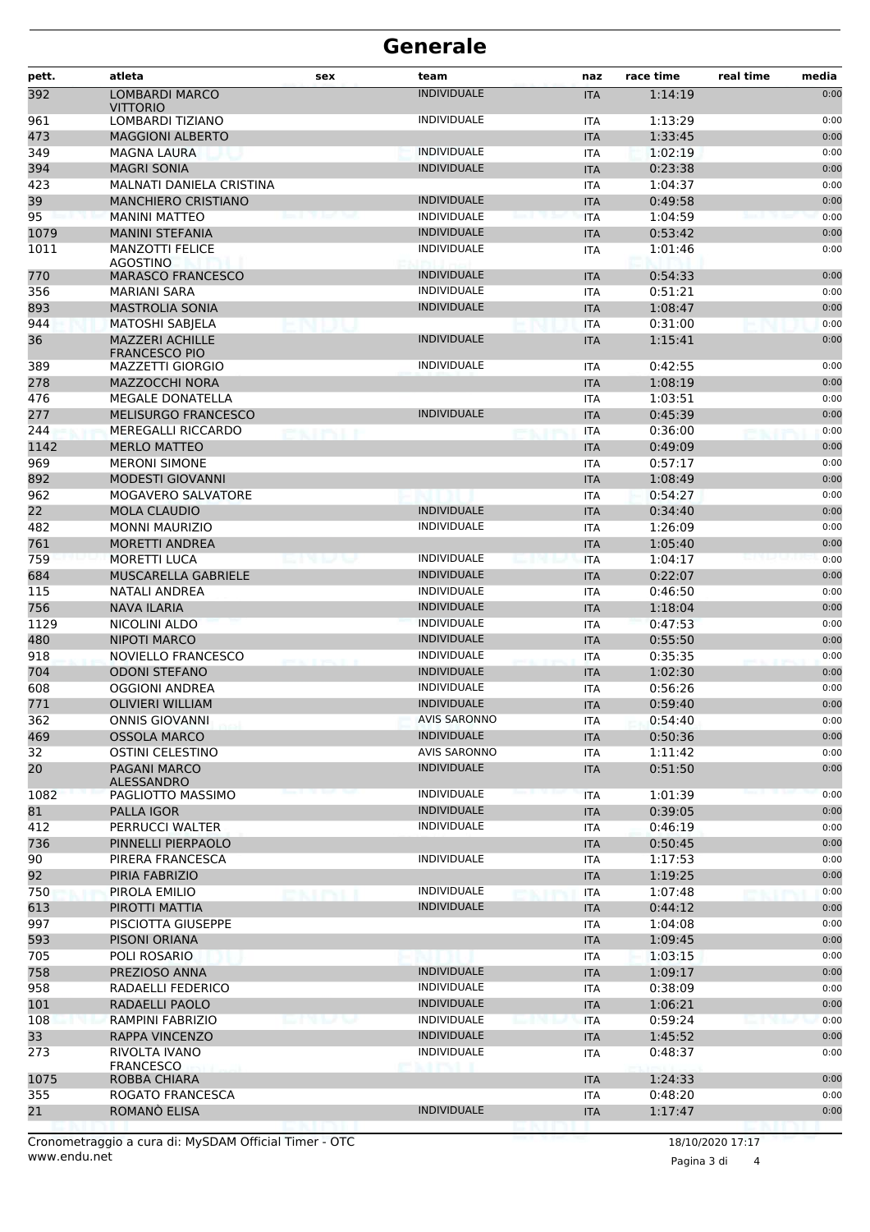| <b>INDIVIDUALE</b><br><b>LOMBARDI MARCO</b><br>1:14:19<br>0:00<br><b>ITA</b><br><b>VITTORIO</b><br><b>INDIVIDUALE</b><br>961<br><b>LOMBARDI TIZIANO</b><br>1:13:29<br>0:00<br><b>ITA</b><br>473<br>1:33:45<br><b>MAGGIONI ALBERTO</b><br>0:00<br><b>ITA</b><br><b>INDIVIDUALE</b><br>0:00<br>349<br><b>MAGNA LAURA</b><br>1:02:19<br><b>ITA</b><br><b>INDIVIDUALE</b><br>394<br><b>MAGRI SONIA</b><br>0:23:38<br><b>ITA</b><br>0:00<br>423<br>MALNATI DANIELA CRISTINA<br>1:04:37<br>0:00<br><b>ITA</b><br><b>INDIVIDUALE</b><br><b>MANCHIERO CRISTIANO</b><br>0:49:58<br>0:00<br><b>ITA</b><br><b>INDIVIDUALE</b><br><b>MANINI MATTEO</b><br>1:04:59<br><b>ITA</b><br>0:00<br><b>MANINI STEFANIA</b><br><b>INDIVIDUALE</b><br>0:53:42<br><b>ITA</b><br>0:00<br><b>INDIVIDUALE</b><br>0:00<br><b>MANZOTTI FELICE</b><br>1:01:46<br><b>ITA</b><br>AGOSTINO<br><b>INDIVIDUALE</b><br>0:00<br><b>MARASCO FRANCESCO</b><br>0:54:33<br><b>ITA</b><br><b>INDIVIDUALE</b><br>0:51:21<br><b>MARIANI SARA</b><br><b>ITA</b><br>0:00<br><b>MASTROLIA SONIA</b><br><b>INDIVIDUALE</b><br>1:08:47<br>0:00<br><b>ITA</b><br>0:00<br>MATOSHI SABJELA<br>0:31:00<br><b>ITA</b><br>36<br><b>MAZZERI ACHILLE</b><br><b>INDIVIDUALE</b><br><b>ITA</b><br>1:15:41<br>0:00<br><b>FRANCESCO PIO</b><br><b>INDIVIDUALE</b><br>0:42:55<br><b>MAZZETTI GIORGIO</b><br>0:00<br><b>ITA</b><br>MAZZOCCHI NORA<br>1:08:19<br>0:00<br><b>ITA</b><br>0:00<br><b>MEGALE DONATELLA</b><br>1:03:51<br>ITA<br><b>MELISURGO FRANCESCO</b><br><b>INDIVIDUALE</b><br>0:45:39<br><b>ITA</b><br>0:00<br><b>MEREGALLI RICCARDO</b><br>0:36:00<br>0:00<br><b>ITA</b><br><b>MERLO MATTEO</b><br>0:49:09<br>0:00<br><b>ITA</b><br>969<br><b>MERONI SIMONE</b><br>0:57:17<br><b>ITA</b><br>0:00<br>892<br><b>MODESTI GIOVANNI</b><br>1:08:49<br>0:00<br><b>ITA</b><br>0:00<br>962<br>MOGAVERO SALVATORE<br>0:54:27<br>ITA<br>22<br><b>MOLA CLAUDIO</b><br><b>INDIVIDUALE</b><br>0:34:40<br><b>ITA</b><br>0:00<br>482<br><b>INDIVIDUALE</b><br><b>MONNI MAURIZIO</b><br>1:26:09<br>0:00<br><b>ITA</b><br>761<br><b>MORETTI ANDREA</b><br>1:05:40<br>0:00<br><b>ITA</b><br>759<br><b>MORETTI LUCA</b><br><b>INDIVIDUALE</b><br>1:04:17<br><b>ITA</b><br>0:00<br>684<br>MUSCARELLA GABRIELE<br><b>INDIVIDUALE</b><br>0:22:07<br>0:00<br><b>ITA</b><br>INDIVIDUALE<br>115<br><b>NATALI ANDREA</b><br>0:46:50<br>0:00<br><b>ITA</b><br>756<br><b>NAVA ILARIA</b><br><b>INDIVIDUALE</b><br><b>ITA</b><br>1:18:04<br>0:00<br>1129<br><b>INDIVIDUALE</b><br>0:47:53<br>NICOLINI ALDO<br>0:00<br><b>ITA</b><br><b>INDIVIDUALE</b><br>480<br><b>NIPOTI MARCO</b><br>0:55:50<br><b>ITA</b><br>0:00<br>918<br>NOVIELLO FRANCESCO<br><b>INDIVIDUALE</b><br>0:35:35<br>0:00<br><b>ITA</b><br><b>INDIVIDUALE</b><br>704<br><b>ODONI STEFANO</b><br>1:02:30<br>0:00<br><b>ITA</b><br>INDIVIDUALE<br>OGGIONI ANDREA<br>0:56:26<br>0:00<br><b>ITA</b><br><b>OLIVIERI WILLIAM</b><br><b>INDIVIDUALE</b><br>0:59:40<br><b>ITA</b><br>0:00<br><b>AVIS SARONNO</b><br><b>ONNIS GIOVANNI</b><br>0:54:40<br>0:00<br><b>ITA</b><br><b>INDIVIDUALE</b><br><b>OSSOLA MARCO</b><br>0:50:36<br>0:00<br><b>ITA</b><br><b>OSTINI CELESTINO</b><br><b>AVIS SARONNO</b><br>0:00<br><b>ITA</b><br>1:11:42<br><b>INDIVIDUALE</b><br>0:51:50<br>0:00<br><b>PAGANI MARCO</b><br><b>ITA</b><br>ALESSANDRO<br><b>INDIVIDUALE</b><br>PAGLIOTTO MASSIMO<br>1:01:39<br>0:00<br><b>ITA</b><br><b>INDIVIDUALE</b><br><b>PALLA IGOR</b><br><b>ITA</b><br>0:39:05<br>0:00<br><b>INDIVIDUALE</b><br>0:00<br>PERRUCCI WALTER<br><b>ITA</b><br>0:46:19<br>0:00<br>PINNELLI PIERPAOLO<br><b>ITA</b><br>0:50:45<br><b>INDIVIDUALE</b><br>PIRERA FRANCESCA<br>1:17:53<br>0:00<br><b>ITA</b><br>92<br>PIRIA FABRIZIO<br><b>ITA</b><br>1:19:25<br>0:00<br><b>INDIVIDUALE</b><br>0:00<br>PIROLA EMILIO<br>1:07:48<br><b>ITA</b><br><b>INDIVIDUALE</b><br>613<br>PIROTTI MATTIA<br><b>ITA</b><br>0:44:12<br>0:00<br>997<br>0:00<br>PISCIOTTA GIUSEPPE<br>1:04:08<br>ITA<br>593<br>PISONI ORIANA<br>0:00<br><b>ITA</b><br>1:09:45<br>705<br>POLI ROSARIO<br>1:03:15<br>0:00<br><b>ITA</b><br>758<br><b>INDIVIDUALE</b><br>0:00<br>PREZIOSO ANNA<br>1:09:17<br><b>ITA</b><br><b>INDIVIDUALE</b><br>0:00<br>958<br>RADAELLI FEDERICO<br>0:38:09<br><b>ITA</b><br><b>INDIVIDUALE</b><br>101<br>RADAELLI PAOLO<br><b>ITA</b><br>1:06:21<br>0:00<br>108<br><b>RAMPINI FABRIZIO</b><br><b>INDIVIDUALE</b><br>0:59:24<br>0:00<br><b>ITA</b><br>$1 - 2 = 1 - 1$<br>33<br><b>INDIVIDUALE</b><br>0:00<br><b>RAPPA VINCENZO</b><br><b>ITA</b><br>1:45:52<br>273<br><b>INDIVIDUALE</b><br>RIVOLTA IVANO<br>0:48:37<br>0:00<br><b>ITA</b><br><b>FRANCESCO</b><br>1075<br>ROBBA CHIARA<br>1:24:33<br>0:00<br><b>ITA</b><br>355<br>0:48:20<br>ROGATO FRANCESCA<br>0:00<br><b>ITA</b><br><b>INDIVIDUALE</b><br>0:00<br>21<br><b>ROMANO ELISA</b><br>1:17:47<br><b>ITA</b> | pett. | atleta | sex | team | naz | race time | real time<br>media |
|------------------------------------------------------------------------------------------------------------------------------------------------------------------------------------------------------------------------------------------------------------------------------------------------------------------------------------------------------------------------------------------------------------------------------------------------------------------------------------------------------------------------------------------------------------------------------------------------------------------------------------------------------------------------------------------------------------------------------------------------------------------------------------------------------------------------------------------------------------------------------------------------------------------------------------------------------------------------------------------------------------------------------------------------------------------------------------------------------------------------------------------------------------------------------------------------------------------------------------------------------------------------------------------------------------------------------------------------------------------------------------------------------------------------------------------------------------------------------------------------------------------------------------------------------------------------------------------------------------------------------------------------------------------------------------------------------------------------------------------------------------------------------------------------------------------------------------------------------------------------------------------------------------------------------------------------------------------------------------------------------------------------------------------------------------------------------------------------------------------------------------------------------------------------------------------------------------------------------------------------------------------------------------------------------------------------------------------------------------------------------------------------------------------------------------------------------------------------------------------------------------------------------------------------------------------------------------------------------------------------------------------------------------------------------------------------------------------------------------------------------------------------------------------------------------------------------------------------------------------------------------------------------------------------------------------------------------------------------------------------------------------------------------------------------------------------------------------------------------------------------------------------------------------------------------------------------------------------------------------------------------------------------------------------------------------------------------------------------------------------------------------------------------------------------------------------------------------------------------------------------------------------------------------------------------------------------------------------------------------------------------------------------------------------------------------------------------------------------------------------------------------------------------------------------------------------------------------------------------------------------------------------------------------------------------------------------------------------------------------------------------------------------------------------------------------------------------------------------------------------------------------------------------------------------------------------------------------------------------------------------------------------------------------------------------------------------------------------------------------------------------------------------------------------------------------------------------------------------------------------------------------------------------------------------------------------------------------------------------------------------------------------------------------------------------------------------------------------------------------------------------------------------------------------------------------------------------------------------|-------|--------|-----|------|-----|-----------|--------------------|
|                                                                                                                                                                                                                                                                                                                                                                                                                                                                                                                                                                                                                                                                                                                                                                                                                                                                                                                                                                                                                                                                                                                                                                                                                                                                                                                                                                                                                                                                                                                                                                                                                                                                                                                                                                                                                                                                                                                                                                                                                                                                                                                                                                                                                                                                                                                                                                                                                                                                                                                                                                                                                                                                                                                                                                                                                                                                                                                                                                                                                                                                                                                                                                                                                                                                                                                                                                                                                                                                                                                                                                                                                                                                                                                                                                                                                                                                                                                                                                                                                                                                                                                                                                                                                                                                                                                                                                                                                                                                                                                                                                                                                                                                                                                                                                                                                                                      | 392   |        |     |      |     |           |                    |
|                                                                                                                                                                                                                                                                                                                                                                                                                                                                                                                                                                                                                                                                                                                                                                                                                                                                                                                                                                                                                                                                                                                                                                                                                                                                                                                                                                                                                                                                                                                                                                                                                                                                                                                                                                                                                                                                                                                                                                                                                                                                                                                                                                                                                                                                                                                                                                                                                                                                                                                                                                                                                                                                                                                                                                                                                                                                                                                                                                                                                                                                                                                                                                                                                                                                                                                                                                                                                                                                                                                                                                                                                                                                                                                                                                                                                                                                                                                                                                                                                                                                                                                                                                                                                                                                                                                                                                                                                                                                                                                                                                                                                                                                                                                                                                                                                                                      |       |        |     |      |     |           |                    |
|                                                                                                                                                                                                                                                                                                                                                                                                                                                                                                                                                                                                                                                                                                                                                                                                                                                                                                                                                                                                                                                                                                                                                                                                                                                                                                                                                                                                                                                                                                                                                                                                                                                                                                                                                                                                                                                                                                                                                                                                                                                                                                                                                                                                                                                                                                                                                                                                                                                                                                                                                                                                                                                                                                                                                                                                                                                                                                                                                                                                                                                                                                                                                                                                                                                                                                                                                                                                                                                                                                                                                                                                                                                                                                                                                                                                                                                                                                                                                                                                                                                                                                                                                                                                                                                                                                                                                                                                                                                                                                                                                                                                                                                                                                                                                                                                                                                      |       |        |     |      |     |           |                    |
|                                                                                                                                                                                                                                                                                                                                                                                                                                                                                                                                                                                                                                                                                                                                                                                                                                                                                                                                                                                                                                                                                                                                                                                                                                                                                                                                                                                                                                                                                                                                                                                                                                                                                                                                                                                                                                                                                                                                                                                                                                                                                                                                                                                                                                                                                                                                                                                                                                                                                                                                                                                                                                                                                                                                                                                                                                                                                                                                                                                                                                                                                                                                                                                                                                                                                                                                                                                                                                                                                                                                                                                                                                                                                                                                                                                                                                                                                                                                                                                                                                                                                                                                                                                                                                                                                                                                                                                                                                                                                                                                                                                                                                                                                                                                                                                                                                                      |       |        |     |      |     |           |                    |
|                                                                                                                                                                                                                                                                                                                                                                                                                                                                                                                                                                                                                                                                                                                                                                                                                                                                                                                                                                                                                                                                                                                                                                                                                                                                                                                                                                                                                                                                                                                                                                                                                                                                                                                                                                                                                                                                                                                                                                                                                                                                                                                                                                                                                                                                                                                                                                                                                                                                                                                                                                                                                                                                                                                                                                                                                                                                                                                                                                                                                                                                                                                                                                                                                                                                                                                                                                                                                                                                                                                                                                                                                                                                                                                                                                                                                                                                                                                                                                                                                                                                                                                                                                                                                                                                                                                                                                                                                                                                                                                                                                                                                                                                                                                                                                                                                                                      |       |        |     |      |     |           |                    |
|                                                                                                                                                                                                                                                                                                                                                                                                                                                                                                                                                                                                                                                                                                                                                                                                                                                                                                                                                                                                                                                                                                                                                                                                                                                                                                                                                                                                                                                                                                                                                                                                                                                                                                                                                                                                                                                                                                                                                                                                                                                                                                                                                                                                                                                                                                                                                                                                                                                                                                                                                                                                                                                                                                                                                                                                                                                                                                                                                                                                                                                                                                                                                                                                                                                                                                                                                                                                                                                                                                                                                                                                                                                                                                                                                                                                                                                                                                                                                                                                                                                                                                                                                                                                                                                                                                                                                                                                                                                                                                                                                                                                                                                                                                                                                                                                                                                      |       |        |     |      |     |           |                    |
|                                                                                                                                                                                                                                                                                                                                                                                                                                                                                                                                                                                                                                                                                                                                                                                                                                                                                                                                                                                                                                                                                                                                                                                                                                                                                                                                                                                                                                                                                                                                                                                                                                                                                                                                                                                                                                                                                                                                                                                                                                                                                                                                                                                                                                                                                                                                                                                                                                                                                                                                                                                                                                                                                                                                                                                                                                                                                                                                                                                                                                                                                                                                                                                                                                                                                                                                                                                                                                                                                                                                                                                                                                                                                                                                                                                                                                                                                                                                                                                                                                                                                                                                                                                                                                                                                                                                                                                                                                                                                                                                                                                                                                                                                                                                                                                                                                                      | 39    |        |     |      |     |           |                    |
|                                                                                                                                                                                                                                                                                                                                                                                                                                                                                                                                                                                                                                                                                                                                                                                                                                                                                                                                                                                                                                                                                                                                                                                                                                                                                                                                                                                                                                                                                                                                                                                                                                                                                                                                                                                                                                                                                                                                                                                                                                                                                                                                                                                                                                                                                                                                                                                                                                                                                                                                                                                                                                                                                                                                                                                                                                                                                                                                                                                                                                                                                                                                                                                                                                                                                                                                                                                                                                                                                                                                                                                                                                                                                                                                                                                                                                                                                                                                                                                                                                                                                                                                                                                                                                                                                                                                                                                                                                                                                                                                                                                                                                                                                                                                                                                                                                                      | 95    |        |     |      |     |           |                    |
|                                                                                                                                                                                                                                                                                                                                                                                                                                                                                                                                                                                                                                                                                                                                                                                                                                                                                                                                                                                                                                                                                                                                                                                                                                                                                                                                                                                                                                                                                                                                                                                                                                                                                                                                                                                                                                                                                                                                                                                                                                                                                                                                                                                                                                                                                                                                                                                                                                                                                                                                                                                                                                                                                                                                                                                                                                                                                                                                                                                                                                                                                                                                                                                                                                                                                                                                                                                                                                                                                                                                                                                                                                                                                                                                                                                                                                                                                                                                                                                                                                                                                                                                                                                                                                                                                                                                                                                                                                                                                                                                                                                                                                                                                                                                                                                                                                                      | 1079  |        |     |      |     |           |                    |
|                                                                                                                                                                                                                                                                                                                                                                                                                                                                                                                                                                                                                                                                                                                                                                                                                                                                                                                                                                                                                                                                                                                                                                                                                                                                                                                                                                                                                                                                                                                                                                                                                                                                                                                                                                                                                                                                                                                                                                                                                                                                                                                                                                                                                                                                                                                                                                                                                                                                                                                                                                                                                                                                                                                                                                                                                                                                                                                                                                                                                                                                                                                                                                                                                                                                                                                                                                                                                                                                                                                                                                                                                                                                                                                                                                                                                                                                                                                                                                                                                                                                                                                                                                                                                                                                                                                                                                                                                                                                                                                                                                                                                                                                                                                                                                                                                                                      | 1011  |        |     |      |     |           |                    |
|                                                                                                                                                                                                                                                                                                                                                                                                                                                                                                                                                                                                                                                                                                                                                                                                                                                                                                                                                                                                                                                                                                                                                                                                                                                                                                                                                                                                                                                                                                                                                                                                                                                                                                                                                                                                                                                                                                                                                                                                                                                                                                                                                                                                                                                                                                                                                                                                                                                                                                                                                                                                                                                                                                                                                                                                                                                                                                                                                                                                                                                                                                                                                                                                                                                                                                                                                                                                                                                                                                                                                                                                                                                                                                                                                                                                                                                                                                                                                                                                                                                                                                                                                                                                                                                                                                                                                                                                                                                                                                                                                                                                                                                                                                                                                                                                                                                      | 770   |        |     |      |     |           |                    |
|                                                                                                                                                                                                                                                                                                                                                                                                                                                                                                                                                                                                                                                                                                                                                                                                                                                                                                                                                                                                                                                                                                                                                                                                                                                                                                                                                                                                                                                                                                                                                                                                                                                                                                                                                                                                                                                                                                                                                                                                                                                                                                                                                                                                                                                                                                                                                                                                                                                                                                                                                                                                                                                                                                                                                                                                                                                                                                                                                                                                                                                                                                                                                                                                                                                                                                                                                                                                                                                                                                                                                                                                                                                                                                                                                                                                                                                                                                                                                                                                                                                                                                                                                                                                                                                                                                                                                                                                                                                                                                                                                                                                                                                                                                                                                                                                                                                      | 356   |        |     |      |     |           |                    |
|                                                                                                                                                                                                                                                                                                                                                                                                                                                                                                                                                                                                                                                                                                                                                                                                                                                                                                                                                                                                                                                                                                                                                                                                                                                                                                                                                                                                                                                                                                                                                                                                                                                                                                                                                                                                                                                                                                                                                                                                                                                                                                                                                                                                                                                                                                                                                                                                                                                                                                                                                                                                                                                                                                                                                                                                                                                                                                                                                                                                                                                                                                                                                                                                                                                                                                                                                                                                                                                                                                                                                                                                                                                                                                                                                                                                                                                                                                                                                                                                                                                                                                                                                                                                                                                                                                                                                                                                                                                                                                                                                                                                                                                                                                                                                                                                                                                      | 893   |        |     |      |     |           |                    |
|                                                                                                                                                                                                                                                                                                                                                                                                                                                                                                                                                                                                                                                                                                                                                                                                                                                                                                                                                                                                                                                                                                                                                                                                                                                                                                                                                                                                                                                                                                                                                                                                                                                                                                                                                                                                                                                                                                                                                                                                                                                                                                                                                                                                                                                                                                                                                                                                                                                                                                                                                                                                                                                                                                                                                                                                                                                                                                                                                                                                                                                                                                                                                                                                                                                                                                                                                                                                                                                                                                                                                                                                                                                                                                                                                                                                                                                                                                                                                                                                                                                                                                                                                                                                                                                                                                                                                                                                                                                                                                                                                                                                                                                                                                                                                                                                                                                      | 944   |        |     |      |     |           |                    |
|                                                                                                                                                                                                                                                                                                                                                                                                                                                                                                                                                                                                                                                                                                                                                                                                                                                                                                                                                                                                                                                                                                                                                                                                                                                                                                                                                                                                                                                                                                                                                                                                                                                                                                                                                                                                                                                                                                                                                                                                                                                                                                                                                                                                                                                                                                                                                                                                                                                                                                                                                                                                                                                                                                                                                                                                                                                                                                                                                                                                                                                                                                                                                                                                                                                                                                                                                                                                                                                                                                                                                                                                                                                                                                                                                                                                                                                                                                                                                                                                                                                                                                                                                                                                                                                                                                                                                                                                                                                                                                                                                                                                                                                                                                                                                                                                                                                      |       |        |     |      |     |           |                    |
|                                                                                                                                                                                                                                                                                                                                                                                                                                                                                                                                                                                                                                                                                                                                                                                                                                                                                                                                                                                                                                                                                                                                                                                                                                                                                                                                                                                                                                                                                                                                                                                                                                                                                                                                                                                                                                                                                                                                                                                                                                                                                                                                                                                                                                                                                                                                                                                                                                                                                                                                                                                                                                                                                                                                                                                                                                                                                                                                                                                                                                                                                                                                                                                                                                                                                                                                                                                                                                                                                                                                                                                                                                                                                                                                                                                                                                                                                                                                                                                                                                                                                                                                                                                                                                                                                                                                                                                                                                                                                                                                                                                                                                                                                                                                                                                                                                                      | 389   |        |     |      |     |           |                    |
|                                                                                                                                                                                                                                                                                                                                                                                                                                                                                                                                                                                                                                                                                                                                                                                                                                                                                                                                                                                                                                                                                                                                                                                                                                                                                                                                                                                                                                                                                                                                                                                                                                                                                                                                                                                                                                                                                                                                                                                                                                                                                                                                                                                                                                                                                                                                                                                                                                                                                                                                                                                                                                                                                                                                                                                                                                                                                                                                                                                                                                                                                                                                                                                                                                                                                                                                                                                                                                                                                                                                                                                                                                                                                                                                                                                                                                                                                                                                                                                                                                                                                                                                                                                                                                                                                                                                                                                                                                                                                                                                                                                                                                                                                                                                                                                                                                                      | 278   |        |     |      |     |           |                    |
|                                                                                                                                                                                                                                                                                                                                                                                                                                                                                                                                                                                                                                                                                                                                                                                                                                                                                                                                                                                                                                                                                                                                                                                                                                                                                                                                                                                                                                                                                                                                                                                                                                                                                                                                                                                                                                                                                                                                                                                                                                                                                                                                                                                                                                                                                                                                                                                                                                                                                                                                                                                                                                                                                                                                                                                                                                                                                                                                                                                                                                                                                                                                                                                                                                                                                                                                                                                                                                                                                                                                                                                                                                                                                                                                                                                                                                                                                                                                                                                                                                                                                                                                                                                                                                                                                                                                                                                                                                                                                                                                                                                                                                                                                                                                                                                                                                                      | 476   |        |     |      |     |           |                    |
|                                                                                                                                                                                                                                                                                                                                                                                                                                                                                                                                                                                                                                                                                                                                                                                                                                                                                                                                                                                                                                                                                                                                                                                                                                                                                                                                                                                                                                                                                                                                                                                                                                                                                                                                                                                                                                                                                                                                                                                                                                                                                                                                                                                                                                                                                                                                                                                                                                                                                                                                                                                                                                                                                                                                                                                                                                                                                                                                                                                                                                                                                                                                                                                                                                                                                                                                                                                                                                                                                                                                                                                                                                                                                                                                                                                                                                                                                                                                                                                                                                                                                                                                                                                                                                                                                                                                                                                                                                                                                                                                                                                                                                                                                                                                                                                                                                                      | 277   |        |     |      |     |           |                    |
|                                                                                                                                                                                                                                                                                                                                                                                                                                                                                                                                                                                                                                                                                                                                                                                                                                                                                                                                                                                                                                                                                                                                                                                                                                                                                                                                                                                                                                                                                                                                                                                                                                                                                                                                                                                                                                                                                                                                                                                                                                                                                                                                                                                                                                                                                                                                                                                                                                                                                                                                                                                                                                                                                                                                                                                                                                                                                                                                                                                                                                                                                                                                                                                                                                                                                                                                                                                                                                                                                                                                                                                                                                                                                                                                                                                                                                                                                                                                                                                                                                                                                                                                                                                                                                                                                                                                                                                                                                                                                                                                                                                                                                                                                                                                                                                                                                                      | 244   |        |     |      |     |           |                    |
|                                                                                                                                                                                                                                                                                                                                                                                                                                                                                                                                                                                                                                                                                                                                                                                                                                                                                                                                                                                                                                                                                                                                                                                                                                                                                                                                                                                                                                                                                                                                                                                                                                                                                                                                                                                                                                                                                                                                                                                                                                                                                                                                                                                                                                                                                                                                                                                                                                                                                                                                                                                                                                                                                                                                                                                                                                                                                                                                                                                                                                                                                                                                                                                                                                                                                                                                                                                                                                                                                                                                                                                                                                                                                                                                                                                                                                                                                                                                                                                                                                                                                                                                                                                                                                                                                                                                                                                                                                                                                                                                                                                                                                                                                                                                                                                                                                                      | 1142  |        |     |      |     |           |                    |
|                                                                                                                                                                                                                                                                                                                                                                                                                                                                                                                                                                                                                                                                                                                                                                                                                                                                                                                                                                                                                                                                                                                                                                                                                                                                                                                                                                                                                                                                                                                                                                                                                                                                                                                                                                                                                                                                                                                                                                                                                                                                                                                                                                                                                                                                                                                                                                                                                                                                                                                                                                                                                                                                                                                                                                                                                                                                                                                                                                                                                                                                                                                                                                                                                                                                                                                                                                                                                                                                                                                                                                                                                                                                                                                                                                                                                                                                                                                                                                                                                                                                                                                                                                                                                                                                                                                                                                                                                                                                                                                                                                                                                                                                                                                                                                                                                                                      |       |        |     |      |     |           |                    |
|                                                                                                                                                                                                                                                                                                                                                                                                                                                                                                                                                                                                                                                                                                                                                                                                                                                                                                                                                                                                                                                                                                                                                                                                                                                                                                                                                                                                                                                                                                                                                                                                                                                                                                                                                                                                                                                                                                                                                                                                                                                                                                                                                                                                                                                                                                                                                                                                                                                                                                                                                                                                                                                                                                                                                                                                                                                                                                                                                                                                                                                                                                                                                                                                                                                                                                                                                                                                                                                                                                                                                                                                                                                                                                                                                                                                                                                                                                                                                                                                                                                                                                                                                                                                                                                                                                                                                                                                                                                                                                                                                                                                                                                                                                                                                                                                                                                      |       |        |     |      |     |           |                    |
|                                                                                                                                                                                                                                                                                                                                                                                                                                                                                                                                                                                                                                                                                                                                                                                                                                                                                                                                                                                                                                                                                                                                                                                                                                                                                                                                                                                                                                                                                                                                                                                                                                                                                                                                                                                                                                                                                                                                                                                                                                                                                                                                                                                                                                                                                                                                                                                                                                                                                                                                                                                                                                                                                                                                                                                                                                                                                                                                                                                                                                                                                                                                                                                                                                                                                                                                                                                                                                                                                                                                                                                                                                                                                                                                                                                                                                                                                                                                                                                                                                                                                                                                                                                                                                                                                                                                                                                                                                                                                                                                                                                                                                                                                                                                                                                                                                                      |       |        |     |      |     |           |                    |
|                                                                                                                                                                                                                                                                                                                                                                                                                                                                                                                                                                                                                                                                                                                                                                                                                                                                                                                                                                                                                                                                                                                                                                                                                                                                                                                                                                                                                                                                                                                                                                                                                                                                                                                                                                                                                                                                                                                                                                                                                                                                                                                                                                                                                                                                                                                                                                                                                                                                                                                                                                                                                                                                                                                                                                                                                                                                                                                                                                                                                                                                                                                                                                                                                                                                                                                                                                                                                                                                                                                                                                                                                                                                                                                                                                                                                                                                                                                                                                                                                                                                                                                                                                                                                                                                                                                                                                                                                                                                                                                                                                                                                                                                                                                                                                                                                                                      |       |        |     |      |     |           |                    |
|                                                                                                                                                                                                                                                                                                                                                                                                                                                                                                                                                                                                                                                                                                                                                                                                                                                                                                                                                                                                                                                                                                                                                                                                                                                                                                                                                                                                                                                                                                                                                                                                                                                                                                                                                                                                                                                                                                                                                                                                                                                                                                                                                                                                                                                                                                                                                                                                                                                                                                                                                                                                                                                                                                                                                                                                                                                                                                                                                                                                                                                                                                                                                                                                                                                                                                                                                                                                                                                                                                                                                                                                                                                                                                                                                                                                                                                                                                                                                                                                                                                                                                                                                                                                                                                                                                                                                                                                                                                                                                                                                                                                                                                                                                                                                                                                                                                      |       |        |     |      |     |           |                    |
|                                                                                                                                                                                                                                                                                                                                                                                                                                                                                                                                                                                                                                                                                                                                                                                                                                                                                                                                                                                                                                                                                                                                                                                                                                                                                                                                                                                                                                                                                                                                                                                                                                                                                                                                                                                                                                                                                                                                                                                                                                                                                                                                                                                                                                                                                                                                                                                                                                                                                                                                                                                                                                                                                                                                                                                                                                                                                                                                                                                                                                                                                                                                                                                                                                                                                                                                                                                                                                                                                                                                                                                                                                                                                                                                                                                                                                                                                                                                                                                                                                                                                                                                                                                                                                                                                                                                                                                                                                                                                                                                                                                                                                                                                                                                                                                                                                                      |       |        |     |      |     |           |                    |
|                                                                                                                                                                                                                                                                                                                                                                                                                                                                                                                                                                                                                                                                                                                                                                                                                                                                                                                                                                                                                                                                                                                                                                                                                                                                                                                                                                                                                                                                                                                                                                                                                                                                                                                                                                                                                                                                                                                                                                                                                                                                                                                                                                                                                                                                                                                                                                                                                                                                                                                                                                                                                                                                                                                                                                                                                                                                                                                                                                                                                                                                                                                                                                                                                                                                                                                                                                                                                                                                                                                                                                                                                                                                                                                                                                                                                                                                                                                                                                                                                                                                                                                                                                                                                                                                                                                                                                                                                                                                                                                                                                                                                                                                                                                                                                                                                                                      |       |        |     |      |     |           |                    |
|                                                                                                                                                                                                                                                                                                                                                                                                                                                                                                                                                                                                                                                                                                                                                                                                                                                                                                                                                                                                                                                                                                                                                                                                                                                                                                                                                                                                                                                                                                                                                                                                                                                                                                                                                                                                                                                                                                                                                                                                                                                                                                                                                                                                                                                                                                                                                                                                                                                                                                                                                                                                                                                                                                                                                                                                                                                                                                                                                                                                                                                                                                                                                                                                                                                                                                                                                                                                                                                                                                                                                                                                                                                                                                                                                                                                                                                                                                                                                                                                                                                                                                                                                                                                                                                                                                                                                                                                                                                                                                                                                                                                                                                                                                                                                                                                                                                      |       |        |     |      |     |           |                    |
|                                                                                                                                                                                                                                                                                                                                                                                                                                                                                                                                                                                                                                                                                                                                                                                                                                                                                                                                                                                                                                                                                                                                                                                                                                                                                                                                                                                                                                                                                                                                                                                                                                                                                                                                                                                                                                                                                                                                                                                                                                                                                                                                                                                                                                                                                                                                                                                                                                                                                                                                                                                                                                                                                                                                                                                                                                                                                                                                                                                                                                                                                                                                                                                                                                                                                                                                                                                                                                                                                                                                                                                                                                                                                                                                                                                                                                                                                                                                                                                                                                                                                                                                                                                                                                                                                                                                                                                                                                                                                                                                                                                                                                                                                                                                                                                                                                                      |       |        |     |      |     |           |                    |
|                                                                                                                                                                                                                                                                                                                                                                                                                                                                                                                                                                                                                                                                                                                                                                                                                                                                                                                                                                                                                                                                                                                                                                                                                                                                                                                                                                                                                                                                                                                                                                                                                                                                                                                                                                                                                                                                                                                                                                                                                                                                                                                                                                                                                                                                                                                                                                                                                                                                                                                                                                                                                                                                                                                                                                                                                                                                                                                                                                                                                                                                                                                                                                                                                                                                                                                                                                                                                                                                                                                                                                                                                                                                                                                                                                                                                                                                                                                                                                                                                                                                                                                                                                                                                                                                                                                                                                                                                                                                                                                                                                                                                                                                                                                                                                                                                                                      |       |        |     |      |     |           |                    |
|                                                                                                                                                                                                                                                                                                                                                                                                                                                                                                                                                                                                                                                                                                                                                                                                                                                                                                                                                                                                                                                                                                                                                                                                                                                                                                                                                                                                                                                                                                                                                                                                                                                                                                                                                                                                                                                                                                                                                                                                                                                                                                                                                                                                                                                                                                                                                                                                                                                                                                                                                                                                                                                                                                                                                                                                                                                                                                                                                                                                                                                                                                                                                                                                                                                                                                                                                                                                                                                                                                                                                                                                                                                                                                                                                                                                                                                                                                                                                                                                                                                                                                                                                                                                                                                                                                                                                                                                                                                                                                                                                                                                                                                                                                                                                                                                                                                      |       |        |     |      |     |           |                    |
|                                                                                                                                                                                                                                                                                                                                                                                                                                                                                                                                                                                                                                                                                                                                                                                                                                                                                                                                                                                                                                                                                                                                                                                                                                                                                                                                                                                                                                                                                                                                                                                                                                                                                                                                                                                                                                                                                                                                                                                                                                                                                                                                                                                                                                                                                                                                                                                                                                                                                                                                                                                                                                                                                                                                                                                                                                                                                                                                                                                                                                                                                                                                                                                                                                                                                                                                                                                                                                                                                                                                                                                                                                                                                                                                                                                                                                                                                                                                                                                                                                                                                                                                                                                                                                                                                                                                                                                                                                                                                                                                                                                                                                                                                                                                                                                                                                                      |       |        |     |      |     |           |                    |
|                                                                                                                                                                                                                                                                                                                                                                                                                                                                                                                                                                                                                                                                                                                                                                                                                                                                                                                                                                                                                                                                                                                                                                                                                                                                                                                                                                                                                                                                                                                                                                                                                                                                                                                                                                                                                                                                                                                                                                                                                                                                                                                                                                                                                                                                                                                                                                                                                                                                                                                                                                                                                                                                                                                                                                                                                                                                                                                                                                                                                                                                                                                                                                                                                                                                                                                                                                                                                                                                                                                                                                                                                                                                                                                                                                                                                                                                                                                                                                                                                                                                                                                                                                                                                                                                                                                                                                                                                                                                                                                                                                                                                                                                                                                                                                                                                                                      |       |        |     |      |     |           |                    |
|                                                                                                                                                                                                                                                                                                                                                                                                                                                                                                                                                                                                                                                                                                                                                                                                                                                                                                                                                                                                                                                                                                                                                                                                                                                                                                                                                                                                                                                                                                                                                                                                                                                                                                                                                                                                                                                                                                                                                                                                                                                                                                                                                                                                                                                                                                                                                                                                                                                                                                                                                                                                                                                                                                                                                                                                                                                                                                                                                                                                                                                                                                                                                                                                                                                                                                                                                                                                                                                                                                                                                                                                                                                                                                                                                                                                                                                                                                                                                                                                                                                                                                                                                                                                                                                                                                                                                                                                                                                                                                                                                                                                                                                                                                                                                                                                                                                      | 608   |        |     |      |     |           |                    |
|                                                                                                                                                                                                                                                                                                                                                                                                                                                                                                                                                                                                                                                                                                                                                                                                                                                                                                                                                                                                                                                                                                                                                                                                                                                                                                                                                                                                                                                                                                                                                                                                                                                                                                                                                                                                                                                                                                                                                                                                                                                                                                                                                                                                                                                                                                                                                                                                                                                                                                                                                                                                                                                                                                                                                                                                                                                                                                                                                                                                                                                                                                                                                                                                                                                                                                                                                                                                                                                                                                                                                                                                                                                                                                                                                                                                                                                                                                                                                                                                                                                                                                                                                                                                                                                                                                                                                                                                                                                                                                                                                                                                                                                                                                                                                                                                                                                      | 771   |        |     |      |     |           |                    |
|                                                                                                                                                                                                                                                                                                                                                                                                                                                                                                                                                                                                                                                                                                                                                                                                                                                                                                                                                                                                                                                                                                                                                                                                                                                                                                                                                                                                                                                                                                                                                                                                                                                                                                                                                                                                                                                                                                                                                                                                                                                                                                                                                                                                                                                                                                                                                                                                                                                                                                                                                                                                                                                                                                                                                                                                                                                                                                                                                                                                                                                                                                                                                                                                                                                                                                                                                                                                                                                                                                                                                                                                                                                                                                                                                                                                                                                                                                                                                                                                                                                                                                                                                                                                                                                                                                                                                                                                                                                                                                                                                                                                                                                                                                                                                                                                                                                      | 362   |        |     |      |     |           |                    |
|                                                                                                                                                                                                                                                                                                                                                                                                                                                                                                                                                                                                                                                                                                                                                                                                                                                                                                                                                                                                                                                                                                                                                                                                                                                                                                                                                                                                                                                                                                                                                                                                                                                                                                                                                                                                                                                                                                                                                                                                                                                                                                                                                                                                                                                                                                                                                                                                                                                                                                                                                                                                                                                                                                                                                                                                                                                                                                                                                                                                                                                                                                                                                                                                                                                                                                                                                                                                                                                                                                                                                                                                                                                                                                                                                                                                                                                                                                                                                                                                                                                                                                                                                                                                                                                                                                                                                                                                                                                                                                                                                                                                                                                                                                                                                                                                                                                      | 469   |        |     |      |     |           |                    |
|                                                                                                                                                                                                                                                                                                                                                                                                                                                                                                                                                                                                                                                                                                                                                                                                                                                                                                                                                                                                                                                                                                                                                                                                                                                                                                                                                                                                                                                                                                                                                                                                                                                                                                                                                                                                                                                                                                                                                                                                                                                                                                                                                                                                                                                                                                                                                                                                                                                                                                                                                                                                                                                                                                                                                                                                                                                                                                                                                                                                                                                                                                                                                                                                                                                                                                                                                                                                                                                                                                                                                                                                                                                                                                                                                                                                                                                                                                                                                                                                                                                                                                                                                                                                                                                                                                                                                                                                                                                                                                                                                                                                                                                                                                                                                                                                                                                      | 32    |        |     |      |     |           |                    |
|                                                                                                                                                                                                                                                                                                                                                                                                                                                                                                                                                                                                                                                                                                                                                                                                                                                                                                                                                                                                                                                                                                                                                                                                                                                                                                                                                                                                                                                                                                                                                                                                                                                                                                                                                                                                                                                                                                                                                                                                                                                                                                                                                                                                                                                                                                                                                                                                                                                                                                                                                                                                                                                                                                                                                                                                                                                                                                                                                                                                                                                                                                                                                                                                                                                                                                                                                                                                                                                                                                                                                                                                                                                                                                                                                                                                                                                                                                                                                                                                                                                                                                                                                                                                                                                                                                                                                                                                                                                                                                                                                                                                                                                                                                                                                                                                                                                      | 20    |        |     |      |     |           |                    |
|                                                                                                                                                                                                                                                                                                                                                                                                                                                                                                                                                                                                                                                                                                                                                                                                                                                                                                                                                                                                                                                                                                                                                                                                                                                                                                                                                                                                                                                                                                                                                                                                                                                                                                                                                                                                                                                                                                                                                                                                                                                                                                                                                                                                                                                                                                                                                                                                                                                                                                                                                                                                                                                                                                                                                                                                                                                                                                                                                                                                                                                                                                                                                                                                                                                                                                                                                                                                                                                                                                                                                                                                                                                                                                                                                                                                                                                                                                                                                                                                                                                                                                                                                                                                                                                                                                                                                                                                                                                                                                                                                                                                                                                                                                                                                                                                                                                      | 1082  |        |     |      |     |           |                    |
|                                                                                                                                                                                                                                                                                                                                                                                                                                                                                                                                                                                                                                                                                                                                                                                                                                                                                                                                                                                                                                                                                                                                                                                                                                                                                                                                                                                                                                                                                                                                                                                                                                                                                                                                                                                                                                                                                                                                                                                                                                                                                                                                                                                                                                                                                                                                                                                                                                                                                                                                                                                                                                                                                                                                                                                                                                                                                                                                                                                                                                                                                                                                                                                                                                                                                                                                                                                                                                                                                                                                                                                                                                                                                                                                                                                                                                                                                                                                                                                                                                                                                                                                                                                                                                                                                                                                                                                                                                                                                                                                                                                                                                                                                                                                                                                                                                                      | 81    |        |     |      |     |           |                    |
|                                                                                                                                                                                                                                                                                                                                                                                                                                                                                                                                                                                                                                                                                                                                                                                                                                                                                                                                                                                                                                                                                                                                                                                                                                                                                                                                                                                                                                                                                                                                                                                                                                                                                                                                                                                                                                                                                                                                                                                                                                                                                                                                                                                                                                                                                                                                                                                                                                                                                                                                                                                                                                                                                                                                                                                                                                                                                                                                                                                                                                                                                                                                                                                                                                                                                                                                                                                                                                                                                                                                                                                                                                                                                                                                                                                                                                                                                                                                                                                                                                                                                                                                                                                                                                                                                                                                                                                                                                                                                                                                                                                                                                                                                                                                                                                                                                                      | 412   |        |     |      |     |           |                    |
|                                                                                                                                                                                                                                                                                                                                                                                                                                                                                                                                                                                                                                                                                                                                                                                                                                                                                                                                                                                                                                                                                                                                                                                                                                                                                                                                                                                                                                                                                                                                                                                                                                                                                                                                                                                                                                                                                                                                                                                                                                                                                                                                                                                                                                                                                                                                                                                                                                                                                                                                                                                                                                                                                                                                                                                                                                                                                                                                                                                                                                                                                                                                                                                                                                                                                                                                                                                                                                                                                                                                                                                                                                                                                                                                                                                                                                                                                                                                                                                                                                                                                                                                                                                                                                                                                                                                                                                                                                                                                                                                                                                                                                                                                                                                                                                                                                                      | 736   |        |     |      |     |           |                    |
|                                                                                                                                                                                                                                                                                                                                                                                                                                                                                                                                                                                                                                                                                                                                                                                                                                                                                                                                                                                                                                                                                                                                                                                                                                                                                                                                                                                                                                                                                                                                                                                                                                                                                                                                                                                                                                                                                                                                                                                                                                                                                                                                                                                                                                                                                                                                                                                                                                                                                                                                                                                                                                                                                                                                                                                                                                                                                                                                                                                                                                                                                                                                                                                                                                                                                                                                                                                                                                                                                                                                                                                                                                                                                                                                                                                                                                                                                                                                                                                                                                                                                                                                                                                                                                                                                                                                                                                                                                                                                                                                                                                                                                                                                                                                                                                                                                                      | 90    |        |     |      |     |           |                    |
|                                                                                                                                                                                                                                                                                                                                                                                                                                                                                                                                                                                                                                                                                                                                                                                                                                                                                                                                                                                                                                                                                                                                                                                                                                                                                                                                                                                                                                                                                                                                                                                                                                                                                                                                                                                                                                                                                                                                                                                                                                                                                                                                                                                                                                                                                                                                                                                                                                                                                                                                                                                                                                                                                                                                                                                                                                                                                                                                                                                                                                                                                                                                                                                                                                                                                                                                                                                                                                                                                                                                                                                                                                                                                                                                                                                                                                                                                                                                                                                                                                                                                                                                                                                                                                                                                                                                                                                                                                                                                                                                                                                                                                                                                                                                                                                                                                                      |       |        |     |      |     |           |                    |
|                                                                                                                                                                                                                                                                                                                                                                                                                                                                                                                                                                                                                                                                                                                                                                                                                                                                                                                                                                                                                                                                                                                                                                                                                                                                                                                                                                                                                                                                                                                                                                                                                                                                                                                                                                                                                                                                                                                                                                                                                                                                                                                                                                                                                                                                                                                                                                                                                                                                                                                                                                                                                                                                                                                                                                                                                                                                                                                                                                                                                                                                                                                                                                                                                                                                                                                                                                                                                                                                                                                                                                                                                                                                                                                                                                                                                                                                                                                                                                                                                                                                                                                                                                                                                                                                                                                                                                                                                                                                                                                                                                                                                                                                                                                                                                                                                                                      | 750   |        |     |      |     |           |                    |
|                                                                                                                                                                                                                                                                                                                                                                                                                                                                                                                                                                                                                                                                                                                                                                                                                                                                                                                                                                                                                                                                                                                                                                                                                                                                                                                                                                                                                                                                                                                                                                                                                                                                                                                                                                                                                                                                                                                                                                                                                                                                                                                                                                                                                                                                                                                                                                                                                                                                                                                                                                                                                                                                                                                                                                                                                                                                                                                                                                                                                                                                                                                                                                                                                                                                                                                                                                                                                                                                                                                                                                                                                                                                                                                                                                                                                                                                                                                                                                                                                                                                                                                                                                                                                                                                                                                                                                                                                                                                                                                                                                                                                                                                                                                                                                                                                                                      |       |        |     |      |     |           |                    |
|                                                                                                                                                                                                                                                                                                                                                                                                                                                                                                                                                                                                                                                                                                                                                                                                                                                                                                                                                                                                                                                                                                                                                                                                                                                                                                                                                                                                                                                                                                                                                                                                                                                                                                                                                                                                                                                                                                                                                                                                                                                                                                                                                                                                                                                                                                                                                                                                                                                                                                                                                                                                                                                                                                                                                                                                                                                                                                                                                                                                                                                                                                                                                                                                                                                                                                                                                                                                                                                                                                                                                                                                                                                                                                                                                                                                                                                                                                                                                                                                                                                                                                                                                                                                                                                                                                                                                                                                                                                                                                                                                                                                                                                                                                                                                                                                                                                      |       |        |     |      |     |           |                    |
|                                                                                                                                                                                                                                                                                                                                                                                                                                                                                                                                                                                                                                                                                                                                                                                                                                                                                                                                                                                                                                                                                                                                                                                                                                                                                                                                                                                                                                                                                                                                                                                                                                                                                                                                                                                                                                                                                                                                                                                                                                                                                                                                                                                                                                                                                                                                                                                                                                                                                                                                                                                                                                                                                                                                                                                                                                                                                                                                                                                                                                                                                                                                                                                                                                                                                                                                                                                                                                                                                                                                                                                                                                                                                                                                                                                                                                                                                                                                                                                                                                                                                                                                                                                                                                                                                                                                                                                                                                                                                                                                                                                                                                                                                                                                                                                                                                                      |       |        |     |      |     |           |                    |
|                                                                                                                                                                                                                                                                                                                                                                                                                                                                                                                                                                                                                                                                                                                                                                                                                                                                                                                                                                                                                                                                                                                                                                                                                                                                                                                                                                                                                                                                                                                                                                                                                                                                                                                                                                                                                                                                                                                                                                                                                                                                                                                                                                                                                                                                                                                                                                                                                                                                                                                                                                                                                                                                                                                                                                                                                                                                                                                                                                                                                                                                                                                                                                                                                                                                                                                                                                                                                                                                                                                                                                                                                                                                                                                                                                                                                                                                                                                                                                                                                                                                                                                                                                                                                                                                                                                                                                                                                                                                                                                                                                                                                                                                                                                                                                                                                                                      |       |        |     |      |     |           |                    |
|                                                                                                                                                                                                                                                                                                                                                                                                                                                                                                                                                                                                                                                                                                                                                                                                                                                                                                                                                                                                                                                                                                                                                                                                                                                                                                                                                                                                                                                                                                                                                                                                                                                                                                                                                                                                                                                                                                                                                                                                                                                                                                                                                                                                                                                                                                                                                                                                                                                                                                                                                                                                                                                                                                                                                                                                                                                                                                                                                                                                                                                                                                                                                                                                                                                                                                                                                                                                                                                                                                                                                                                                                                                                                                                                                                                                                                                                                                                                                                                                                                                                                                                                                                                                                                                                                                                                                                                                                                                                                                                                                                                                                                                                                                                                                                                                                                                      |       |        |     |      |     |           |                    |
|                                                                                                                                                                                                                                                                                                                                                                                                                                                                                                                                                                                                                                                                                                                                                                                                                                                                                                                                                                                                                                                                                                                                                                                                                                                                                                                                                                                                                                                                                                                                                                                                                                                                                                                                                                                                                                                                                                                                                                                                                                                                                                                                                                                                                                                                                                                                                                                                                                                                                                                                                                                                                                                                                                                                                                                                                                                                                                                                                                                                                                                                                                                                                                                                                                                                                                                                                                                                                                                                                                                                                                                                                                                                                                                                                                                                                                                                                                                                                                                                                                                                                                                                                                                                                                                                                                                                                                                                                                                                                                                                                                                                                                                                                                                                                                                                                                                      |       |        |     |      |     |           |                    |
|                                                                                                                                                                                                                                                                                                                                                                                                                                                                                                                                                                                                                                                                                                                                                                                                                                                                                                                                                                                                                                                                                                                                                                                                                                                                                                                                                                                                                                                                                                                                                                                                                                                                                                                                                                                                                                                                                                                                                                                                                                                                                                                                                                                                                                                                                                                                                                                                                                                                                                                                                                                                                                                                                                                                                                                                                                                                                                                                                                                                                                                                                                                                                                                                                                                                                                                                                                                                                                                                                                                                                                                                                                                                                                                                                                                                                                                                                                                                                                                                                                                                                                                                                                                                                                                                                                                                                                                                                                                                                                                                                                                                                                                                                                                                                                                                                                                      |       |        |     |      |     |           |                    |
|                                                                                                                                                                                                                                                                                                                                                                                                                                                                                                                                                                                                                                                                                                                                                                                                                                                                                                                                                                                                                                                                                                                                                                                                                                                                                                                                                                                                                                                                                                                                                                                                                                                                                                                                                                                                                                                                                                                                                                                                                                                                                                                                                                                                                                                                                                                                                                                                                                                                                                                                                                                                                                                                                                                                                                                                                                                                                                                                                                                                                                                                                                                                                                                                                                                                                                                                                                                                                                                                                                                                                                                                                                                                                                                                                                                                                                                                                                                                                                                                                                                                                                                                                                                                                                                                                                                                                                                                                                                                                                                                                                                                                                                                                                                                                                                                                                                      |       |        |     |      |     |           |                    |
|                                                                                                                                                                                                                                                                                                                                                                                                                                                                                                                                                                                                                                                                                                                                                                                                                                                                                                                                                                                                                                                                                                                                                                                                                                                                                                                                                                                                                                                                                                                                                                                                                                                                                                                                                                                                                                                                                                                                                                                                                                                                                                                                                                                                                                                                                                                                                                                                                                                                                                                                                                                                                                                                                                                                                                                                                                                                                                                                                                                                                                                                                                                                                                                                                                                                                                                                                                                                                                                                                                                                                                                                                                                                                                                                                                                                                                                                                                                                                                                                                                                                                                                                                                                                                                                                                                                                                                                                                                                                                                                                                                                                                                                                                                                                                                                                                                                      |       |        |     |      |     |           |                    |
|                                                                                                                                                                                                                                                                                                                                                                                                                                                                                                                                                                                                                                                                                                                                                                                                                                                                                                                                                                                                                                                                                                                                                                                                                                                                                                                                                                                                                                                                                                                                                                                                                                                                                                                                                                                                                                                                                                                                                                                                                                                                                                                                                                                                                                                                                                                                                                                                                                                                                                                                                                                                                                                                                                                                                                                                                                                                                                                                                                                                                                                                                                                                                                                                                                                                                                                                                                                                                                                                                                                                                                                                                                                                                                                                                                                                                                                                                                                                                                                                                                                                                                                                                                                                                                                                                                                                                                                                                                                                                                                                                                                                                                                                                                                                                                                                                                                      |       |        |     |      |     |           |                    |
|                                                                                                                                                                                                                                                                                                                                                                                                                                                                                                                                                                                                                                                                                                                                                                                                                                                                                                                                                                                                                                                                                                                                                                                                                                                                                                                                                                                                                                                                                                                                                                                                                                                                                                                                                                                                                                                                                                                                                                                                                                                                                                                                                                                                                                                                                                                                                                                                                                                                                                                                                                                                                                                                                                                                                                                                                                                                                                                                                                                                                                                                                                                                                                                                                                                                                                                                                                                                                                                                                                                                                                                                                                                                                                                                                                                                                                                                                                                                                                                                                                                                                                                                                                                                                                                                                                                                                                                                                                                                                                                                                                                                                                                                                                                                                                                                                                                      |       |        |     |      |     |           |                    |
|                                                                                                                                                                                                                                                                                                                                                                                                                                                                                                                                                                                                                                                                                                                                                                                                                                                                                                                                                                                                                                                                                                                                                                                                                                                                                                                                                                                                                                                                                                                                                                                                                                                                                                                                                                                                                                                                                                                                                                                                                                                                                                                                                                                                                                                                                                                                                                                                                                                                                                                                                                                                                                                                                                                                                                                                                                                                                                                                                                                                                                                                                                                                                                                                                                                                                                                                                                                                                                                                                                                                                                                                                                                                                                                                                                                                                                                                                                                                                                                                                                                                                                                                                                                                                                                                                                                                                                                                                                                                                                                                                                                                                                                                                                                                                                                                                                                      |       |        |     |      |     |           |                    |
|                                                                                                                                                                                                                                                                                                                                                                                                                                                                                                                                                                                                                                                                                                                                                                                                                                                                                                                                                                                                                                                                                                                                                                                                                                                                                                                                                                                                                                                                                                                                                                                                                                                                                                                                                                                                                                                                                                                                                                                                                                                                                                                                                                                                                                                                                                                                                                                                                                                                                                                                                                                                                                                                                                                                                                                                                                                                                                                                                                                                                                                                                                                                                                                                                                                                                                                                                                                                                                                                                                                                                                                                                                                                                                                                                                                                                                                                                                                                                                                                                                                                                                                                                                                                                                                                                                                                                                                                                                                                                                                                                                                                                                                                                                                                                                                                                                                      |       |        |     |      |     |           |                    |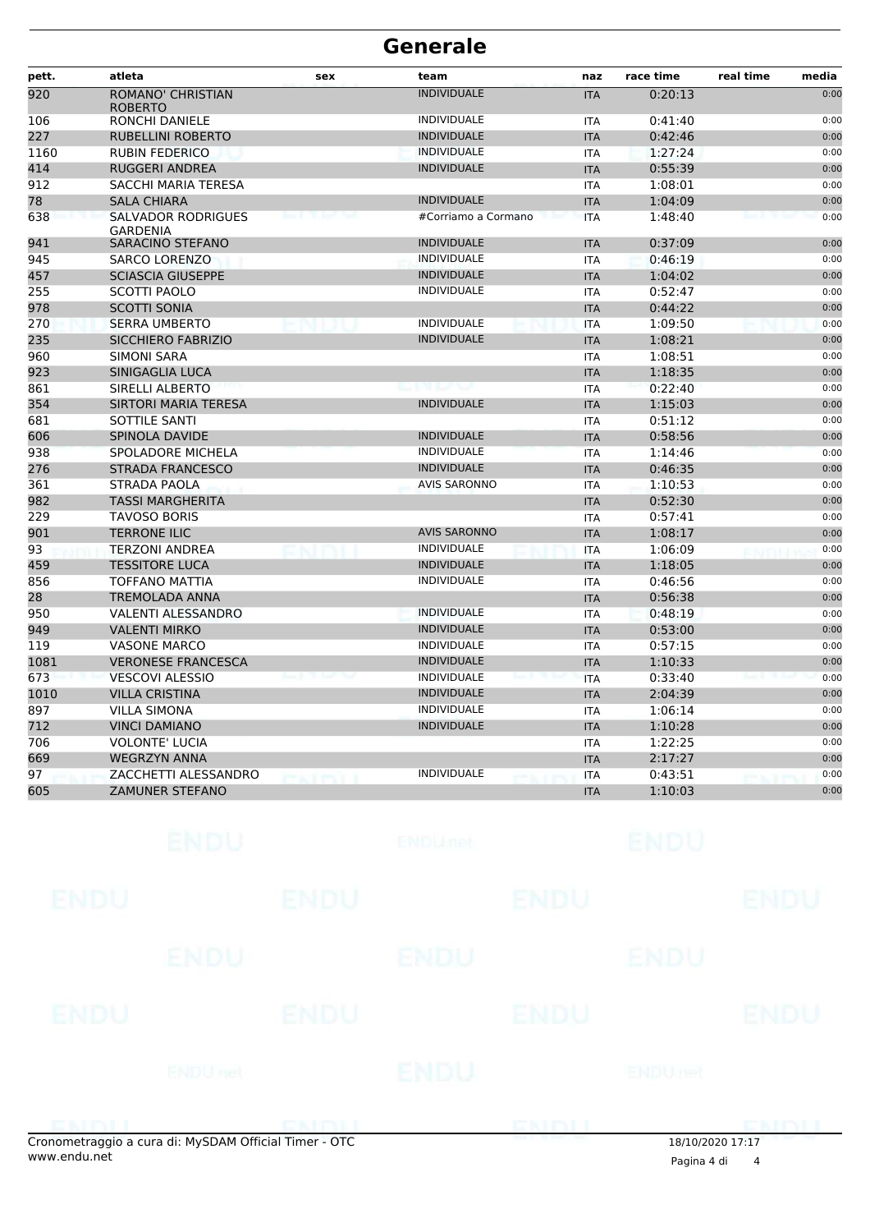| pett. | atleta                                       | sex | team                | naz        | race time | real time | media |
|-------|----------------------------------------------|-----|---------------------|------------|-----------|-----------|-------|
| 920   | <b>ROMANO' CHRISTIAN</b><br><b>ROBERTO</b>   |     | <b>INDIVIDUALE</b>  | <b>ITA</b> | 0:20:13   |           | 0:00  |
| 106   | <b>RONCHI DANIELE</b>                        |     | <b>INDIVIDUALE</b>  | <b>ITA</b> | 0:41:40   |           | 0:00  |
| 227   | RUBELLINI ROBERTO                            |     | <b>INDIVIDUALE</b>  | <b>ITA</b> | 0:42:46   |           | 0:00  |
| 1160  | <b>RUBIN FEDERICO</b>                        |     | <b>INDIVIDUALE</b>  | <b>ITA</b> | 1:27:24   |           | 0:00  |
| 414   | <b>RUGGERI ANDREA</b>                        |     | <b>INDIVIDUALE</b>  | <b>ITA</b> | 0:55:39   |           | 0:00  |
| 912   | <b>SACCHI MARIA TERESA</b>                   |     |                     | <b>ITA</b> | 1:08:01   |           | 0:00  |
| 78    | <b>SALA CHIARA</b>                           |     | <b>INDIVIDUALE</b>  | <b>ITA</b> | 1:04:09   |           | 0:00  |
| 638   | <b>SALVADOR RODRIGUES</b><br><b>GARDENIA</b> |     | #Corriamo a Cormano | <b>ITA</b> | 1:48:40   |           | 0:00  |
| 941   | <b>SARACINO STEFANO</b>                      |     | <b>INDIVIDUALE</b>  | <b>ITA</b> | 0:37:09   |           | 0:00  |
| 945   | <b>SARCO LORENZO</b>                         |     | <b>INDIVIDUALE</b>  | <b>ITA</b> | 0:46:19   |           | 0:00  |
| 457   | <b>SCIASCIA GIUSEPPE</b>                     |     | <b>INDIVIDUALE</b>  | <b>ITA</b> | 1:04:02   |           | 0:00  |
| 255   | <b>SCOTTI PAOLO</b>                          |     | <b>INDIVIDUALE</b>  | <b>ITA</b> | 0:52:47   |           | 0:00  |
| 978   | <b>SCOTTI SONIA</b>                          |     |                     | <b>ITA</b> | 0:44:22   |           | 0:00  |
| 270   | <b>SERRA UMBERTO</b>                         |     | <b>INDIVIDUALE</b>  | <b>ITA</b> | 1:09:50   |           | 0:00  |
| 235   | <b>SICCHIERO FABRIZIO</b>                    |     | <b>INDIVIDUALE</b>  | <b>ITA</b> | 1:08:21   |           | 0:00  |
| 960   | <b>SIMONI SARA</b>                           |     |                     | <b>ITA</b> | 1:08:51   |           | 0:00  |
| 923   | SINIGAGLIA LUCA                              |     |                     | <b>ITA</b> | 1:18:35   |           | 0:00  |
| 861   | <b>SIRELLI ALBERTO</b>                       |     |                     | <b>ITA</b> | 0:22:40   |           | 0:00  |
| 354   | <b>SIRTORI MARIA TERESA</b>                  |     | <b>INDIVIDUALE</b>  | <b>ITA</b> | 1:15:03   |           | 0:00  |
| 681   | SOTTILE SANTI                                |     |                     | <b>ITA</b> | 0:51:12   |           | 0:00  |
| 606   | <b>SPINOLA DAVIDE</b>                        |     | <b>INDIVIDUALE</b>  | <b>ITA</b> | 0:58:56   |           | 0:00  |
| 938   | <b>SPOLADORE MICHELA</b>                     |     | <b>INDIVIDUALE</b>  | <b>ITA</b> | 1:14:46   |           | 0:00  |
| 276   | <b>STRADA FRANCESCO</b>                      |     | <b>INDIVIDUALE</b>  | <b>ITA</b> | 0:46:35   |           | 0:00  |
| 361   | <b>STRADA PAOLA</b>                          |     | <b>AVIS SARONNO</b> | <b>ITA</b> | 1:10:53   |           | 0:00  |
| 982   | <b>TASSI MARGHERITA</b>                      |     |                     | <b>ITA</b> | 0:52:30   |           | 0:00  |
| 229   | <b>TAVOSO BORIS</b>                          |     |                     | <b>ITA</b> | 0:57:41   |           | 0:00  |
| 901   | <b>TERRONE ILIC</b>                          |     | <b>AVIS SARONNO</b> | <b>ITA</b> | 1:08:17   |           | 0:00  |
| 93    | <b>TERZONI ANDREA</b>                        |     | INDIVIDUALE         | <b>ITA</b> | 1:06:09   |           | 0:00  |
| 459   | <b>TESSITORE LUCA</b>                        |     | <b>INDIVIDUALE</b>  | <b>ITA</b> | 1:18:05   |           | 0:00  |
| 856   | <b>TOFFANO MATTIA</b>                        |     | INDIVIDUALE         | <b>ITA</b> | 0:46:56   |           | 0:00  |
| 28    | <b>TREMOLADA ANNA</b>                        |     |                     | <b>ITA</b> | 0:56:38   |           | 0:00  |
| 950   | <b>VALENTI ALESSANDRO</b>                    |     | <b>INDIVIDUALE</b>  | <b>ITA</b> | 0:48:19   |           | 0:00  |
| 949   | <b>VALENTI MIRKO</b>                         |     | <b>INDIVIDUALE</b>  | <b>ITA</b> | 0:53:00   |           | 0:00  |
| 119   | <b>VASONE MARCO</b>                          |     | <b>INDIVIDUALE</b>  | <b>ITA</b> | 0:57:15   |           | 0:00  |
| 1081  | <b>VERONESE FRANCESCA</b>                    |     | <b>INDIVIDUALE</b>  | <b>ITA</b> | 1:10:33   |           | 0:00  |
| 673   | <b>VESCOVI ALESSIO</b>                       |     | <b>INDIVIDUALE</b>  | <b>ITA</b> | 0:33:40   |           | 0:00  |
| 1010  | <b>VILLA CRISTINA</b>                        |     | <b>INDIVIDUALE</b>  | <b>ITA</b> | 2:04:39   |           | 0:00  |
| 897   | <b>VILLA SIMONA</b>                          |     | <b>INDIVIDUALE</b>  | <b>ITA</b> | 1:06:14   |           | 0:00  |
| 712   | <b>VINCI DAMIANO</b>                         |     | <b>INDIVIDUALE</b>  | <b>ITA</b> | 1:10:28   |           | 0:00  |
| 706   | <b>VOLONTE' LUCIA</b>                        |     |                     | <b>ITA</b> | 1:22:25   |           | 0:00  |
| 669   | <b>WEGRZYN ANNA</b>                          |     |                     | <b>ITA</b> | 2:17:27   |           | 0:00  |
| 97    | ZACCHETTI ALESSANDRO                         |     | <b>INDIVIDUALE</b>  | <b>ITA</b> | 0:43:51   |           | 0:00  |
| 605   | <b>ZAMUNER STEFANO</b>                       |     |                     | <b>ITA</b> | 1:10:03   |           | 0:00  |